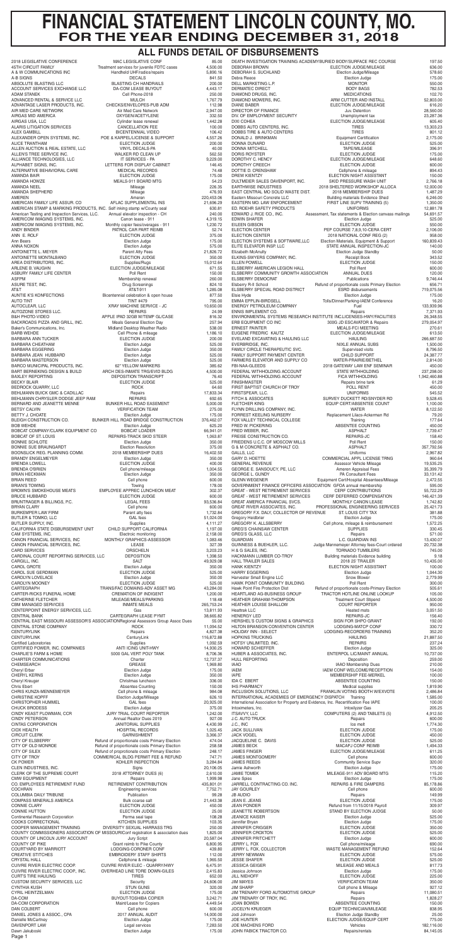# **FINANCIAL STATEMENT LINCOLN COUNTY, MO. FOR THE YEAR ENDING DECEMBER 31, 2018**

## **ALL FUNDS DETAIL OF DISBURSEMENTS**

|                                                                           | MAC LEGISLATIVE CONF<br>Treatment services for juvenile FDTC cases               | 85.00<br>4,500.00     | DEATH INVESTIGATION TRAINING ACADEMY BURIED BODY/SURFACE REC COURSE<br><b>DEBORAH BROWN</b> | ELECTION JUDGE/MILEAGE                                                | 197.50<br>636.00             |
|---------------------------------------------------------------------------|----------------------------------------------------------------------------------|-----------------------|---------------------------------------------------------------------------------------------|-----------------------------------------------------------------------|------------------------------|
| A & W COMMUNICATIONS INC                                                  | Handheld UHF/radios/repairs                                                      | 5,890.16              | DEBORAH S. SUCHLAND                                                                         | Election Judge/Mileage                                                | 578.60                       |
| A-B SIGNS                                                                 | <b>DECALS</b>                                                                    | 841.50                | Debra Reece                                                                                 | <b>Election Judge</b>                                                 | 175.00                       |
| ABSOLUTE BLASTING LLC                                                     | <b>BLASTING CH HANDRAILS</b>                                                     | 200.00                | DELL MARKETING L.P.                                                                         | <b>MONITOR</b>                                                        | 550.00                       |
| ACCOUNT SERVICES EXCHANGE LLC                                             | DA-COM LEASE BUYOUT                                                              | 4,443.17              | DERMATEC DIRECT                                                                             | <b>BODY BAGS</b>                                                      | 782.53                       |
| <b>ADAM STANEK</b>                                                        | Cell Phone-2018                                                                  | 250.00                | DIAMOND DRUGS, INC.                                                                         | <b>MEDICATIONS</b>                                                    | 102.70                       |
| ADVANCED RENTAL & SERVICE LLC                                             | <b>MULCH</b>                                                                     | 1,767.79              | DIAMOND MOWERS, INC.                                                                        | ARM CUTTER AND INSTALL                                                | 52,803.00                    |
| ADVANTAGE LASER PRODUCTS, INC.                                            | CHECKS/ENVELOPES-PUB ADM                                                         | 112.98                | <b>DIANE BABER</b>                                                                          | ELECTION JUDGE/MILEAGE                                                | 616.20                       |
| AIR MED CARE NETWORK                                                      | Air Med Care Network                                                             | 2,947.00              | DIRECTOR OF FINANCE                                                                         | Juv. Detention                                                        | 28,560.00                    |
| AIRGAS MID AMERICA                                                        | OXYGEN/ACETYLENE                                                                 | 332.50                | DIV. OF EMPLOYMENT SECURITY                                                                 | Unemployment tax                                                      | 23,287.36                    |
| AIRGAS USA, LLC                                                           | Cylinder lease renewal                                                           | 1,442.28              | <b>DIXI COHEA</b>                                                                           | <b>ELECTION JUDGE/MILEAGE</b>                                         | 605.40                       |
| <b>ALARIS LITIGATION SERVICES</b>                                         | CANCELLATION FEE                                                                 | 100.00                | DOBBS AUTO CENTERS, INC.                                                                    | <b>TIRES</b><br><b>TIRES</b>                                          | 13,303.23                    |
| <b>ALEX GAMBILL</b>                                                       | <b>BICENTENNIAL VIDEO</b>                                                        | 106.42                | DOBBS TIRE & AUTO CENTERS                                                                   | <b>Equipment Certification</b>                                        | 801.12                       |
| ALEXANDER OPEN SYSTEMS, INC.                                              | POE & KARPEL/LICENSE & SUPPORT                                                   | 4,557.26              | DONALD J. BRINKMAN                                                                          |                                                                       | 2,175.00                     |
| <b>ALICE TRANTHAM</b>                                                     | ELECTION JUDGE                                                                   | 200.00                | <b>DONNA DUNARD</b>                                                                         | <b>ELECTION JUDGE</b>                                                 | 525.00                       |
| ALLEN AUCTION & REAL ESTATE, LLC                                          | VINYL DECALS-PA                                                                  | 40.00                 | <b>DONNA MITCHELL</b>                                                                       | TAPE/MILEAGE                                                          | 396.91                       |
| ALLEN'S TREE SERVICE INC.                                                 | WALKER RD CLEAN UP                                                               | 562.50                | <b>DORIS ROYSTER</b>                                                                        | <b>ELECTION JUDGE</b>                                                 | 175.00                       |
| ALLIANCE TECHNOLOGIES, LLC                                                | IT SERVICES - PA                                                                 | 9,229.00              | DOROTHY C. HENCY                                                                            | ELECTION JUDGE/MILEAGE                                                | 648.60                       |
| ALPHABET SIGNS, INC.                                                      | LETTERS FOR DISPLAY CABINET                                                      | 146.45                | DOROTHY CREECH                                                                              | <b>ELECTION JUDGE</b>                                                 | 600.00                       |
| ALTERNATIVE BEHAVIORAL CARE                                               | <b>MEDICAL RECORDS</b>                                                           | 74.48                 | DOTTIE D. CRENSHAW                                                                          | Cellphone & mileage                                                   | 894.43                       |
| <b>AMANDA BAIR</b>                                                        | ELECTION JUDGE                                                                   | 175.00                | <b>DREW KIENTZY</b>                                                                         | ELECTION NIGHT ASSISTANT                                              | 150.00                       |
| AMANDA HOWZE                                                              | MEALS-911 BOARD MTG                                                              | 54.23                 | DULTMEIER SALES DAVENPORT, INC.                                                             | SKID PRESSURE WASH UNIT                                               | 2,766.18                     |
| <b>AMANDA NEEL</b>                                                        | Mileage                                                                          | 226.35                | <b>EARTHWISE INDUSTRIES</b>                                                                 | 2018 SHELTERED WORKSHOP ALLOCA                                        | 12,000.00                    |
| <b>AMANDA SHEPHERD</b>                                                    | Mileage                                                                          | 476.93                | EAST CENTRAL MO SOLID WASTE DIST.                                                           | 2018 MEMBERSHIP DUES                                                  | 1,487.29                     |
| <b>AMEREN</b>                                                             | Ameren                                                                           | 220,453.06            | Eastern Missouri Concrete LLC                                                               | <b>Building materials Evidence Shed</b>                               | 6,246.00                     |
| AMERICAN FAMILY LIFE ASSUR. CO                                            | AFLAC SUPPLEMENTAL INS                                                           | 21,696.29             | EASTERN MO. LAW ENFORCEMENT                                                                 | FIRST LINE SUPV TRAINING (5)                                          | 1,350.00                     |
| AMERICAN STAMP & MARKING PRODUCTS, INC. Self inking stamp w/County seal   | Annual elevator inspection - CH                                                  | 630.81                | ED. ROEHR SAFETY PRODUCTS                                                                   | <b>UNIFORMS</b>                                                       | 12,881.78                    |
| American Testing and Inspection Services, LLC.                            |                                                                                  | 240.00                | EDWARD J. RICE CO., INC.                                                                    | Assessment, Tax statements & Election canvass mailings                | 54,691.57                    |
| AMERICOM IMAGING SYSTEMS, INC.                                            | Canon lease - 911                                                                | 4,319.15              | <b>EDWIN SHAFER</b>                                                                         | <b>Election Judge</b>                                                 | 525.00                       |
| AMERICOM IMAGING SYSTEMS, INC.                                            | Monthly copier fees/overages - 911                                               | 1,230.72              | EILEEN GIBSON                                                                               | <b>ELECTION JUDGE</b>                                                 | 550.00                       |
| <b>ANDY BINDER</b><br>ANN E. ROLF                                         | PATROL CAR PART REIMB                                                            | 52.74                 | <b>ELECTION CENTER</b>                                                                      | PEP COURSE 7,8,9,10-CERA CERT                                         | 2,106.00<br>958.00           |
| Ann Beers                                                                 | <b>ELECTION JUDGE</b><br>Election Judge                                          | 375.00<br>175.00      | <b>ELECTION CENTER</b><br>ELECTION SYSTEMS & SOFTWARE, LLC                                  | 2018 NATIONAL CONF REG (2)<br>Election Materials, Equipment & Support | 160,839.43                   |
| ANNA NOXON                                                                | Election Judge                                                                   | 575.00                | ELITE ELEVATOR INSP. LLC                                                                    | STATE ANNUAL INSPECTION-JC                                            | 140.00                       |
| ANTOINETTE L. MEYER                                                       | <b>Parent Atty Fees</b>                                                          | 21,826.72             | Elizabeth McAnulty                                                                          | <b>Election Judge Standby</b>                                         | 50.00                        |
| ANTOINETTE MONTALBANO                                                     | <b>ELECTION JUDGE</b>                                                            | 350.00                | ELKINS-SWYERS COMPANY, INC.                                                                 | <b>Receipt Book</b>                                                   | 343.52                       |
| AREA DISTRIBUTORS, INC.                                                   | Supplies/Rugs                                                                    | 15,012.64             | <b>ELLEN POWELL</b>                                                                         | <b>ELECTION JUDGE</b>                                                 | 150.00                       |
| ARLENE B. VAUGHN                                                          | ELECTION JUDGE/MILEAGE                                                           | 671.55                | ELSBERRY AMERICAN LEGION HALL                                                               | Poll Rent                                                             | 600.00                       |
| ASBURY FAMILY LIFE CENTER                                                 | Poll Rent                                                                        | 150.00                | ELSBERRY COMMUNITY GROWTH ASSOCIATION                                                       | <b>ANNUAL DUES</b>                                                    | 120.00                       |
| ASFPM                                                                     | Membership renewal                                                               | 260.00                | <b>ELSBERRY DEMOCRAT</b>                                                                    | Publications                                                          | 9,746.44                     |
| ASURE TEST, INC.                                                          | <b>Drug Screenings</b>                                                           | 824.10                | Elsberry R-II School                                                                        | Refund of proportionate costs Primary Election                        | 656.71                       |
| AT&T                                                                      | AT&T-911                                                                         | 1,285.08              | ELSBERRY SPECIAL ROAD DISTRICT                                                              | <b>ESRD</b> disbursements                                             | 719,075.56                   |
| AUNTIE K'S KONFECTIONS                                                    | Bicentennial celebration & open house                                            | 877.50                | Elsie Hyde                                                                                  | <b>Election Judge</b>                                                 | 175.00                       |
| <b>AUTO TINT</b>                                                          | <b>TINT #479</b>                                                                 | 795.00                | <b>EMMA EPPLIN-BIRDSELL</b>                                                                 | Tolls/Dinner/Parking-IAEM Conference                                  | 16.20                        |
| AUTOCLEAR, LLC                                                            | XRAY MACHINE SERVICE - JC                                                        | 10,650.00             | <b>ENERGY PETROLEUM COMPANY</b>                                                             | Fuel                                                                  | 133.939.96                   |
| AUTOZONE STORES LLC.                                                      | <b>REPAIRS</b>                                                                   | 24.99                 | <b>ENNIS IMPLEMENT CO.</b>                                                                  | Repairs                                                               | 7,371.93                     |
| <b>B&amp;H PHOTO-VIDEO</b>                                                | APPLE IPAD 32GB W/TEMP GL/CASE                                                   | 816.32                | ENVIRONMENTAL SYSTEMS RESEARCH INSTITUTE INC.LICENSES-HWY/FACILITIES                        |                                                                       | 26,348.55                    |
| BACKROADS PIZZA AND GRILL. INC.                                           | <b>Meals General Election Day</b>                                                | 257.94                | ERB EQUIPMENT CO INC                                                                        | 300G JD ESCAVATOR & Repairs                                           | 279,054.97                   |
| Baker's Communications, Inc.                                              | Midland Desktop Weather Radio                                                    | 538.00                | <b>ERNEST PAINTER</b>                                                                       | <b>MEALS-FCI MEETING</b>                                              | 270.61                       |
| <b>BARB WEHDE</b>                                                         | Cell Phone & mileage<br>ELECTION JUDGE                                           | 1,186.10              | EUGENE FREDRIC KAUTZ<br>EVELAND EXCAVATING & HAULING LLC                                    | ELECTION JUDGE/MILEAGE<br><b>HAULING</b>                              | 613.50                       |
| <b>BARBARA ANN TUCKER</b><br><b>BARBARA CHEATHAM</b>                      | Election Judge                                                                   | 200.00<br>525.00      | EVERBRIDGE, INC.                                                                            | NIXLE ANNUAL SUBS                                                     | 266,687.50<br>1,500.00       |
| <b>BARBARA EGGERING</b>                                                   | Election Judge                                                                   | 350.00                | FAMILY CIRCLE THERAPEUTIC SVC.                                                              | <b>Supervised visits</b>                                              | 8,796.50                     |
| BARBARA JEAN HUBBARD                                                      | Election Judge                                                                   | 525.00                | FAMILY SUPPORT PAYMENT CENTER                                                               | <b>CHILD SUPPORT</b>                                                  | 24,387.77                    |
| <b>BARBARA MASTERSON</b>                                                  | Election Judge                                                                   | 525.00                | FARMERS ELEVATOR AND SUPPLY CO                                                              | WATER-PRAIRIE/BETHEL                                                  | 2,814.00                     |
| <b>BARCO MUNICIPAL PRODUCTS, INC.</b>                                     | 62" YELLOW MARKERS                                                               | 385.62                | FBI-NAA-GLEEDS                                                                              | 2018 GATEWAY LAW ENF SEMINAR                                          | 450.00                       |
| BART BERNEKING DESIGN & BUILD                                             | ARCH DES-INMATE TRG/EVID BLDG                                                    | 4,500.00              | FEDERAL WITHHOLDING ACCOUNT                                                                 | <b>STATE WITHHOLDING</b>                                              | 237,298.00                   |
| <b>BAXLEY REPORTING</b>                                                   | <b>DEPOSITION TRANSCRIPT</b>                                                     | 76.40                 | FEDERAL WITHHOLDING ACCOUNT                                                                 | <b>FICA WITHHOLDING</b>                                               | 1,942,460.88                 |
| <b>BECKY BLAIR</b>                                                        | <b>ELECTION JUDGE</b>                                                            | 525.00                | <b>FINISHMASTER</b>                                                                         | Repairs brine tank                                                    | 61.29                        |
| BEDROCK QUARRY, LLC                                                       | <b>ROCK</b>                                                                      | 64.60                 | FIRST BAPTIST CHURCH OF TROY                                                                | POLL RENT                                                             | 450.00                       |
| BEHLMANN BUICK GMC & CADILLAC                                             | Repairs                                                                          | 17,833.34             | FIRSTSPEAR, LLC.                                                                            | <b>UNIFORMS</b>                                                       | 545.52                       |
| BEHLMANN CHRYSLER DODGE JEEP RAM                                          | <b>REPAIRS</b>                                                                   | 692.65                | FITCH & ASSOCATES                                                                           | SURVEY DUCKETT RD/SNYDER RD                                           | 9,528.45                     |
| BERNARD AND JEANETTE MENNE                                                | BUNKER HILL ROAD EASEMENT                                                        | 5,000.00              | <b>FLETCHER KING</b>                                                                        | EQUIP CERT/ABSENTEE COUNT                                             | 1,100.00                     |
| <b>BETSY CALVIN</b>                                                       | <b>VERIFICATION TEAM</b>                                                         | 275.00                | FLYNN DRILLING COMPANY, INC.                                                                | <b>WATER</b>                                                          | 8,122.50                     |
| <b>BETTY J. CHOATE</b>                                                    | Election Judge                                                                   | 175.00                | FORREST KEELING NURSERY                                                                     | Replacement Lilacs-Ackerman Rd                                        | 79.20                        |
| BLEIGH CONSTRUCTION CO.                                                   | BUNKER HILL ROAD BRIDGE CONSTRUCTION                                             | 376,462.07            | FOX VALLEY TECHNICAL COLLEGE                                                                | Training                                                              | 177.64                       |
| <b>BOB WEHDE</b>                                                          | Election Judge<br><b>BOBCAT LOADER</b>                                           | 625.20                | FRED W. PICKERING                                                                           | ABSENTEE COUNTING<br><b>ASPHALT</b>                                   | 450.00                       |
| BOBCAT COMPANY/CLARK EQUIPMENT CO<br><b>BOBCAT OF ST. LOUIS</b>           | REPAIRS-TRACK SKID STEER                                                         | 66,941.01<br>1,063.87 | FRED WEBER, INC.<br>FREISE CONSTRUCTION CO.                                                 | REPAIRS-JC                                                            | 7,739.47<br>158.40           |
| <b>BONNIE SCHLOTE</b>                                                     | Election Judge                                                                   | 350.00                | FRIEDENS U.C.C. OF MOSCOW MILLS                                                             | Poll Rent                                                             | 150.00                       |
| BONNIE SUE BRAUNGARDT                                                     | <b>Election Resolution</b>                                                       | 375.00                | G & M CONCRETE & ASPHALT CO.                                                                | <b>ASPHALT</b>                                                        | 357,792.56                   |
| BOONSLICK REG. PLANNING COMM.                                             | 2018 MEMBERSHIP DUES                                                             | 16,402.50             | GALLS, LLC                                                                                  | Uniforms                                                              | 2,967.82                     |
| <b>BRANDY ENGELMEYER</b>                                                  | Election Judge                                                                   | 350.00                | <b>GARY D. HOETTE</b>                                                                       | COMMERCIAL APPL LICENSE TRNG                                          | 960.64                       |
| <b>BRENDA LOWELL</b>                                                      | <b>ELECTION JUDGE</b>                                                            | 400.00                | <b>GENERAL REVENUE</b>                                                                      | Assessor Vehicle Mileage                                              | 19,535.25                    |
| <b>BRENDA O'BRIEN</b>                                                     | Cell phone/mileage                                                               | 1,004.55              | GEORGE E. SANSOUCY, PE, LLC                                                                 | Ameren Appraisal Fees                                                 | 35,399.79                    |
| <b>BRIAN HECKMAN</b>                                                      | Election Judge                                                                   | 350.00                | <b>GEORGE L. GUNDY</b>                                                                      | PA Consultant Fees                                                    | 33,131.42                    |
| <b>BRIAN REED</b>                                                         | Cell phone                                                                       | 600.00                | <b>GLENN WEGENER</b>                                                                        | Equipment Cert/Hospital Absentees/Mileage                             | 2,472.55                     |
| <b>BRIAN'S TOWING</b>                                                     | Towing                                                                           | 178.00                | GOVERNMENT FINANCE OFFICERS ASSOCIATION GFOA annual membership                              | <b>CERF CONTRIBUTIONS</b>                                             | 595.00                       |
| <b>BROWN'S SMOKEHOUSE MEATS</b>                                           | EMPLOYEE APPREC LUNCHEON MEAT                                                    | 302.37                | <b>GREAT - WEST RETIREMENT SERVICES</b>                                                     |                                                                       | 55,722.29                    |
| <b>BRUCE HUBBARD</b>                                                      | ELECTION JUDGE                                                                   | 600.00                | <b>GREAT - WEST RETIREMENT SERVICES</b>                                                     | CERF DEFERRED COMPENSATION                                            | 146,421.39                   |
| BRUNTRAGER & BILLINGS, P.C.                                               | <b>LEGAL FEES</b>                                                                | 93,536.84             | <b>GREAT AMERICA FINANCIAL SVCS.</b>                                                        | MONTHLY CANON LEASE                                                   | 1,742.82                     |
| <b>BRYAN CLARY</b>                                                        | Cell phone                                                                       | 600.00                | GREAT RIVER ASSOCIATES, INC.                                                                | PROFESSIONAL ENGINEERING SERVICES                                     | 25,421.73                    |
| <b>BURKEMPER LAW FIRM</b>                                                 | Parent atty fees                                                                 | 1,732.84              | GREGORY F.X. DALY, COLLECTOR OF REVENUE                                                     | ST. LOUIS CITY TAX                                                    | 381.88                       |
| <b>BUTLER &amp; TOMKO, LLC</b>                                            | <b>GAL</b> fees                                                                  | 51,024.00             | Gregory Heidbrier                                                                           | Election Judge                                                        | 175.00                       |
| BUTLER SUPPLY, INC.                                                       | Supplies                                                                         | 4,111.27              | GREGORY K. ALLSBERRY                                                                        | Cell phone, mileage & reimbursement                                   | 1,572.25                     |
| CALIFORNIA STATE DISBURSEMENT UNIT                                        | CHILD SUPPORT CALIFORNIA                                                         | 1,197.00              | <b>GREG'S CHAINSAW CENTER</b>                                                               | <b>SUPPLIES</b>                                                       | 330.45                       |
| CAM SYSTEMS, INC.                                                         | Electroic monitoring                                                             | 2,158.00              | GREG'S GLASS, LLC                                                                           | Repairs                                                               | 571.00                       |
| CANON FINANCIAL SERVICES, INC                                             | <b>MONTHLY GRAPHICS-ASSESSOR</b>                                                 | 1,083.46              | <b>GUARDIAN</b>                                                                             | L.C. GUARDIAN INS                                                     | 13,430.07                    |
| CANON FINANCIAL SERVICES, INC.                                            | LEASE                                                                            | 327.39                | GUINNESS & BUEHLER, LLC.                                                                    | Judge Mennemeyer Attorney fees-Court ordered                          | 20,732.38                    |
| <b>CARD SERVICES</b>                                                      | <b>ORSCHELN</b>                                                                  | 3,203.23              | H & G SALES, INC.                                                                           | <b>TORNADO TUMBLERS</b>                                               | 745.00                       |
| CARDINAL COURT REPORTING SERVICES, LLC                                    | <b>DEPOSITION</b>                                                                | 1,398.50              | HACKMANN LUMBER CO-TROY                                                                     | Building materials Evidence building                                  | 9.18                         |
| CARGILL, INC.                                                             | <b>SALT</b>                                                                      | 49,929.08             | <b>HALL TRAILER SALES</b>                                                                   | 2018 25' TRAILER                                                      | 10,435.00                    |
| <b>CAROL GROTE</b>                                                        | Election Judge                                                                   | 350.00                | <b>HANK KIENTZY</b>                                                                         | <b>ELECTION NIGHT ASSISTANT</b>                                       | 100.00                       |
| CAROL SUE GERDIMAN                                                        | <b>ELECTION JUDGE</b>                                                            | 525.00                | <b>HARRY EGGERING</b>                                                                       | <b>Election Judge</b>                                                 | 1,044.30                     |
| CAROLYN LOVELACE                                                          | Election Judge                                                                   | 350.00                | Harvester Small Engine LLC                                                                  | Snow Blower                                                           | 2,779.99                     |
| <b>CAROLYN MOONEY</b>                                                     | <b>ELECTION JUDGE</b>                                                            | 525.00                | HAWK POINT COMMUNITY BUILDING                                                               | Poll Rent                                                             | 300.00                       |
| CARTEGRAPH                                                                | TRANS/FAC DOMAINS-ADV ASSET MG                                                   | 43,284.00             | Hawk Point Fire Protection Dist                                                             | Refund of proportionate costs-Primary Election                        | 505.61                       |
| CARTER-RICKS FUNERAL HOME                                                 | <b>CREMATION OF INDIGENT</b>                                                     | 1,200.00              | HEARTLAND AG-BUSINESS GROUP                                                                 | TRACTOR HOTLINE ONLINE LOOKUP                                         |                              |
| <b>CATHERINE FLETCHER</b>                                                 | MILEAGE/MEALS/PARKING                                                            | 118.48                | HEATHER GRAHAM-THOMPSON                                                                     | <b>Treatment Court Stipend</b>                                        | 105.00                       |
| <b>CBM MANAGED SERVICES</b>                                               | <b>INMATE MEALS</b>                                                              | 265,753.24            | HEATHER LOUISE SHALLOW                                                                      | <b>COURT REPORTER</b>                                                 |                              |
| CENTERPOINT ENERGY SERVICES, LLC.<br><b>CENTRAL BANK</b>                  | Gas<br>CARTEGRAPH LEASE PYMT                                                     |                       |                                                                                             |                                                                       | 4,500.00                     |
| CENTRAL STONE COMPANY                                                     |                                                                                  | 13,811.93             | <b>Heattrak LLC</b>                                                                         | Heated mats                                                           | 950.00<br>3,051.50           |
|                                                                           | CENTRAL EAST MISSOURI ASSESSOR'S ASSOCIATIONRegional Assessors Group Assoc Dues  | 38,665.82<br>55.00    | <b>HENERGY LED</b><br>HERSHEL'S CUSTOM SIGNS & GRAPHICS                                     | REPAIRS-JC<br>SIGN FOR SHPO GRANT                                     | 156.40<br>192.00             |
| <b>CENTURYLINK</b>                                                        | <b>ROCK</b>                                                                      | 11,094.52             | HILTON BRANSON CONVENTION CENTER                                                            | LODGING-MATCP CONF                                                    | 330.72                       |
|                                                                           | Repairs                                                                          | 4,827.38              | HOLIDAY INN - SELECT                                                                        | LODGING-RECORDERS TRAINING                                            | 352.20                       |
| <b>CENTURYLINK</b>                                                        | CenturyLink                                                                      | 116,872.88            | <b>HOPKINS TRUCKING</b>                                                                     | <b>HAULING</b>                                                        | 21,887.50                    |
| <b>Certified Laboratories</b>                                             | Supplies                                                                         | 1,092.59              | HOTSY UNLIMITED, INC.                                                                       | <b>REPAIRS</b>                                                        | 237.24                       |
| CERTIFIED POWER, INC. COMPANIES                                           | <b>ANTI ICING UNIT-HWY</b>                                                       | 14,930.25             | <b>HOWARD SCHIEFFER</b>                                                                     | <b>Election Judge</b>                                                 | 325.00                       |
| <b>CHARLIE'S FARM &amp; HOME</b>                                          | 5000 GAL VERT POLY TANK                                                          | 8,706.36              | HUBER & ASSOCIATES, INC.                                                                    | ENTERPOL LIC/MAINT ANNUAL                                             | 10,737.00                    |
| CHARTER COMMUNICATIONS                                                    | Charter                                                                          | 12,737.37             | HULL REPORTING                                                                              | Deposition                                                            | 259.00                       |
| <b>CHEMSEARCH</b>                                                         | <b>GREASE</b>                                                                    | 1,969.80              | <b>IAAO</b>                                                                                 | <b>IAAO</b> Membership Dues                                           | 210.00                       |
| Cheryl Erbar                                                              | Election Judge                                                                   | 175.00                | <b>IAEM</b>                                                                                 | IAEM CONF WELCOME/RECEPTION                                           | 154.00                       |
| <b>CHERYL KERNS</b>                                                       | Election Judge                                                                   | 350.00                | <b>IAPE</b>                                                                                 | MEMBERSHIP FEE-MERKEL                                                 | 100.00                       |
| <b>Cheryl Kreuger</b>                                                     | Christmas luncheon                                                               | 336.00                | <b>IDA C EBERT</b>                                                                          | ABSENTEE COUNTING                                                     | 150.00                       |
| <b>Chris Ebert</b>                                                        | Absentee Counting                                                                | 150.00                | <b>IHS PHARMACY</b>                                                                         | <b>Medical supplies</b>                                               | 1,819.90                     |
| CHRIS KUNZA-MENNEMEYER                                                    | Cell phone & mileage                                                             | 984.08                | INCLUSION SOLUTIONS, LLC                                                                    | FRANKLIN VOTING BOOTH W/EXVOTE                                        | 2,486.84                     |
| <b>CHRISTINE KOPFF</b>                                                    | Election Judge/Mileage                                                           | 626.10                | INTERNATIONAL ACADEMIES OF EMERGENCY DISPATCH Training                                      |                                                                       | 1,585.00                     |
| <b>CHRISTOPHER HUMMEL</b>                                                 | <b>GAL</b> fees                                                                  | 20,925.00             | International Association for Property and Evidence, Inc. Recertification Fee IAPE          |                                                                       | 100.00                       |
| <b>CHUCK BRODESS</b><br>CINDY KEAST PLOWMAN, CCR<br><b>CINDY PETERSON</b> | Election Judge<br>JURY TRIAL COURT REPORTER<br>Annual Realtor Dues 2019          | 375.00<br>1,242.00    | Intoximeters, Inc.<br><b>ITSAVVY, LLC</b><br><b>J.C. AUTO TRUCK</b>                         | <b>Intoxilyzer Gas</b><br>COMPUTERS (2) AND TABLETS (5)               | 205.25<br>4,912.50<br>600.00 |
| <b>CINTAS CORPORATION</b>                                                 | <b>JANITORIAL SUPPLIES</b>                                                       | 927.00<br>4,430.99    | J.C., INC                                                                                   | Repairs<br>Ice melt                                                   | 1,774.30                     |
| <b>CIOX HEALTH</b>                                                        | <b>HOSPITAL RECORDS</b>                                                          | 1,025.45              | <b>JACK SULLIVAN</b>                                                                        | <b>ELECTION JUDGE</b>                                                 | 175.00                       |
| <b>CIRCUIT CLERK</b>                                                      | <b>GARNISHMENT</b>                                                               | 3,366.37              | <b>JACK VOGEL</b>                                                                           | <b>ELECTION JUDGE</b>                                                 | 450.00                       |
| <b>CITY OF ELSBERRY</b>                                                   | Refund of proportionate costs Primary Election                                   | 474.04                | JACQUELINE C. DAVIS                                                                         | <b>ELECTION JUDGE</b>                                                 | 525.00                       |
| CITY OF OLD MONROE                                                        | Refund of proportionate costs Primary Election                                   | 258.58                | <b>JAMES BECK</b>                                                                           | <b>MACAPJ CONF REIMB</b>                                              | 1,494.33                     |
| <b>CITY OF SILEX</b>                                                      | Refund of proprotionate costs Primary Election                                   | 248.17                | <b>JAMES FINGER</b>                                                                         | ELECTION JUDGE/MILEAGE                                                | 611.25                       |
| <b>CITY OF TROY</b>                                                       | COMMERICAL BLDG PERMIT FEE & REFUND                                              | 747.71                | <b>JAMES MONTGOMERY</b>                                                                     | Cell phone                                                            | 600.00                       |
| <b>CK POWER</b>                                                           | KOHLER INSPECTION                                                                | 3,284.84              | <b>JAMES REEDS</b>                                                                          | <b>Community Service Supv</b>                                         | 320.00                       |
| CLEN INDUSTRIES, INC.                                                     | Signs                                                                            | 20,106.05             | Jamie Ashworth                                                                              | Election Judge                                                        | 175.00                       |
| CLERK OF THE SUPREME COURT                                                | 2018 ATTORNEY DUES (6)                                                           | 2,610.00              | <b>JAMIE TOMEK</b>                                                                          | MILEAGE-911 ADV BOARD MTG                                             | 115.20                       |
| <b>CMW EQUIPMENT</b>                                                      | Repairs                                                                          | 1,999.98              | Jane Spies                                                                                  | <b>Election Judge</b>                                                 | 175.00                       |
| CO. EMPLOYEES RETIREMENT FUND                                             | RETIREMENT CONTRIBUTION                                                          | 435,801.01            | JARRELL CONTRACTING CO. INC.                                                                | <b>REPAIRS &amp; FIRE DAMPERS</b>                                     | 85,178.86                    |
| <b>COCHRAN</b>                                                            | <b>Engineering services</b>                                                      | 7,752.71              | <b>JAY GOURLEY</b>                                                                          | Cell phone                                                            | 600.00                       |
| <b>COLUMBIA DAILY TRIBUNE</b>                                             | Publication                                                                      | 99.28                 | <b>JB AUDIO</b>                                                                             | Repairs                                                               | 149.99                       |
| <b>COMPASS MINERALS AMERICA</b>                                           | Bulk coarse salt                                                                 | 21,443.38             | JEAN E. JEANS                                                                               | <b>ELECTION JUDGE</b>                                                 | 175.00                       |
| <b>CONNIE CLARY</b>                                                       | ELECTION JUDGE                                                                   | 450.00                | <b>JEAN PONDER</b>                                                                          | Refund from 11/15/2018 Payroll                                        | 309.97                       |
| <b>CONNIE HUTTON</b>                                                      | <b>ELECTION JUDGE</b>                                                            | 25.00                 | JEANETTE ROBERTSON                                                                          | STAND BY ELECTION JUDGE                                               | 50.00                        |
| Continental Research Corporation                                          | Perma seal tape                                                                  | 108.28                | <b>JEANICE KAISER</b>                                                                       | Election Judge                                                        | 525.00                       |
| COOKS CORRECTIONAL                                                        | <b>KITCHEN SUPPLIES</b>                                                          | 103.35                | Jennifer Bryan                                                                              | <b>Election Judge</b>                                                 | 175.00                       |
| COOPER MANAGEMENT TRAINING                                                | DIVERSITY SEXUAL HARRASS TRG                                                     | 250.00                | <b>JENNIFER CRIGGER</b>                                                                     | <b>ELECTION JUDGE</b>                                                 | 350.00                       |
| COUNTY OF LINCOLN JURY ACCOUNT                                            | COUNTY COMMISSIONERS ASSOCIATION OF MISSOURIConf registration & association dues | 1,825.00              | <b>JENNIFER CROXTON</b>                                                                     | ELECTION JUDGE                                                        | 525.00                       |
|                                                                           | Jury Script                                                                      | 20,587.04             | <b>JENNIFER PRITCHETT</b>                                                                   | <b>Election Judge</b>                                                 | 600.00                       |
| <b>COUNTY OF PIKE</b>                                                     | Grant reimb to Pike County                                                       | 6,800.95              | JERRY L. FOX                                                                                | Cell phone/mileage                                                    | 690.00                       |
| <b>COURTYARD BY MARRIOTT</b>                                              | LODGING-CORONER CONF                                                             | 439.80                | JERRY L. FOX, COLLECTOR                                                                     | WASTE MANAGEMENT REFUND                                               | 152.64                       |
| <b>CREATIVE STITCHES</b>                                                  | <b>EMBROIDERY STAFF SHIRTS</b>                                                   | 112.00                | <b>JERRY NEWMAN</b>                                                                         | <b>ELECTION JUDGE</b>                                                 | 575.00                       |
| <b>CRYSTAL HALL</b>                                                       | Cellphone & mileage                                                              | 1,965.50              | <b>JESSE SHAFER</b>                                                                         | <b>ELECTION JUDGE</b>                                                 | 525.00                       |
| <b>CUIVRE RIVER ELECTRIC COOP.</b>                                        | CUIVRE RIVER ELEC - QUARRY/HWY                                                   | 6,475.91              | <b>JESSICA GEIGER</b>                                                                       | MILEAGE AND MEALS                                                     | 817.73                       |
| CUIVRE RIVER ELECTRIC COOP., INC.                                         | OVERHEAD LINE TORE DOWN-GILES                                                    | 2,415.83              | Jessica Johnson                                                                             | Election Judge                                                        | 175.00                       |
| <b>CURT'S TIRE HAULING</b>                                                | <b>TIRES</b>                                                                     | 652.00                | <b>JILL NIEHOFF</b>                                                                         | <b>ELECTION JUDGE</b>                                                 | 225.00                       |
| <b>CUSTOM SECURITY SERVICES, LLC</b>                                      | Security                                                                         | 24,606.00             | <b>JIM MAYES</b>                                                                            | <b>VERIFICATION TEAM</b>                                              | 350.00                       |
| <b>CYNTHIA KUSH</b>                                                       | <b>STUN GUNS</b>                                                                 | 320.00                | <b>JIM SHARP</b>                                                                            | Cell phone & Mileage                                                  | 927.12                       |
| <b>CYRIL HEINTZELMAN</b>                                                  | ELECTION JUDGE                                                                   | 175.00                | JIM TRENARY FORD AUTOMOTIVE GROUP                                                           | Repairs                                                               | 11,080.51                    |
| DA-COM                                                                    | <b>BUYOUT-TOSHIBA COPIER</b>                                                     | 3,242.71              | JIM TRENARY OF TROY, INC.                                                                   | Repairs                                                               | 1,828.27                     |
| DA-COM CORPORATION                                                        | Maint/Lease for Copiers                                                          | 4,449.54              | <b>JOAN BOWEN</b>                                                                           | ABSENTEE COUNTING                                                     | 150.00                       |
| DAN COLBERT                                                               | Cell phone                                                                       | 600.00                | <b>JOCELYN KRUEGER</b>                                                                      | EQUIP TECHNICIAN/MILEAGE                                              | 838.95                       |
| DANIEL JONES & ASSOC., CPA                                                | 2017 ANNUAL AUDIT                                                                | 14,000.00             | Jodi Johnson                                                                                | <b>Election Judge Standby</b>                                         | 25.00                        |
| Danielle McCartney                                                        | Election Judge                                                                   | 175.00                | <b>JOE HUNTER</b>                                                                           | ELECTION JUDGE/EQUIP CERT                                             | 775.00                       |
| <b>DAVENPORT LAW</b>                                                      | Legal services                                                                   | 7,283.50              | <b>JOE MACHENS FORD</b>                                                                     | Vehicles                                                              | 182,116.00                   |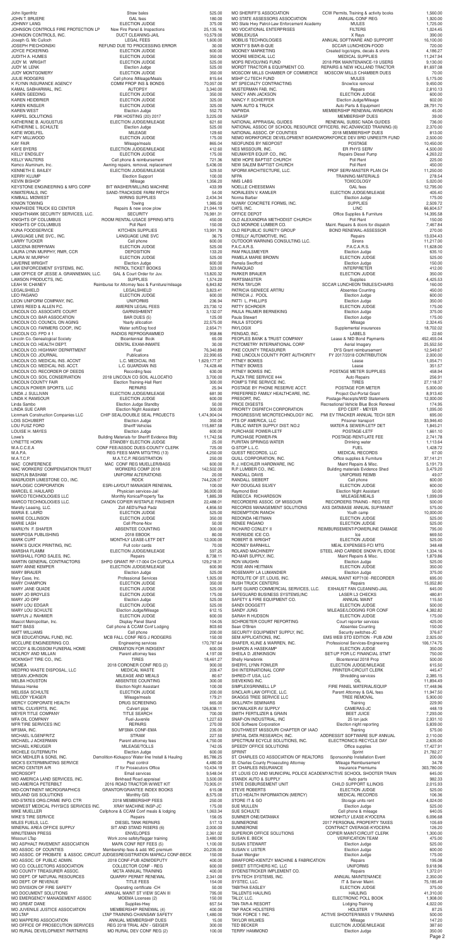JUDY M. WRIGHT **ELECTION JUDGE** MARK CURT THE MONTHLY LEASE-LETF DET 12,000.00

John Ilgenfritz 525.00 JOHN T. BRUERE **GAL fees** GAL fees **180.00** JOHNNY LANG ELECTION JUDGE 375.00 JOHNSON CONTROLS FIRE PROTECTION LP New Fire Panel & Inspections 25,135.16<br>JOHNSON CONTROLS. INC. 2579.00 JOHNSON CONTROLS, INC. DUCT CLEANING-JAIL 10,579.00 Joseph G. Mc Culloch (1,600.00)<br>JOSEPH PIECHOINSKI (20.00) REFUND DUE TO PROCESSING ERROR (30.000) JOSEPH PIECHOINSKI REFUND DUE TO PROCESSING ERROR 30.00 ELECTION JUDGE 600.00<br>ELECTION JUDGE 350.00 JUDITH A. HUMES 350.00<br>JUDY M. WRIGHT SERIENT STREED TO BELECTION JUDGE 350.000 350.000 3505.00 JUDY M. LENK Election Judge 525.00 JUDY MONTGOMERY ELECTION JUDGE 350.00 JULIE RODGERS 645.64<br>
K FLYNN INSURANCE AGENCY COMM PROP INS & BONDS 70,057.00 K FLYNN INSURANCE AGENCY COMM PROP INS & BONDS 70,057.00 KAMAL SABHARWAL, INC. AUTOPSY 3,340.00 KAREN GEEDING **ELECTION JUDGE** 350.00 KAREN HEIDBRIER ELECTION JUDGE 325.00 ELECTION JUDGE 325.00 KAREN WEST **Election Judge 552.70** KARPEL SOLUTIONS PBK HOSTING (20) 2017 3,225.00 ELECTION JUDGE/MILEAGE 621.60<br>Election Judge 625.00 NATHERINE L. SCHULTE<br>KATHERINE L. SCHULTE ELECTION SELECTION DUCKER Election Judge KATIE WOELFEL 129.60 KATY MILLWOOD **ELECTION JUDGE** 175.00 KAY FAIR Mileage/meals 865.04 KAYE BYERS ELECTION JUDGE/MILEAGE 412.60 ELECTION JUDGE 175.00 KELLY WALTERS **Cell phone & reimbursement** 721.36 Kemco Aluminum, Inc.  $\mu$  and  $\mu$  are absoluted a Awning repairs, removal, replacement  $\mu$  5,436.00 KENNETH E. BAILEY ELECTION JUDGE/MILEAGE 529.50 KERRY KLUMP **Election Support Election Support** 100.00 KEVIN BISHOP Mileage 1,356.20 KEYSTONE ENGINEERING & MFG CORP BIT WASHER/MILLING MACHINE 433.99 KIMATERIALS, INC SAND-TRACKSIDE FARM PATCH 54.00 WIRING SUPPLIES 2,434.34 KINION TOWING 1,985.00 KNAPHEIDE TRUCK EQ CENTER Repairs & new snow plow 21,044.19 KNIGHTHAWK SECURITY SERVICES, LLC. SECURITY SERVICES SECURITY 36,981.31 KNIGHTS OF COLUMBUS **ROOM RENTAL-USACE SPRING MTG** 450.00 KNIGHTS OF COLUMBUS **And Collect Columbus** Poll Rent 150.00 KUNA FOODSERVICE KITCHEN SUPPLIES 13,991.78 LANGUAGE LINE SVC., INC. LANGUAGE LINE SVC 36.75 LARRY TUCKER **Cell phone** 600.00 LASCENA BERRYMAN ELECTION JUDGE 525.00 LAURA LYNN MURPHY, RMR, CCR DEPOSITION DEPOSITION 133.20 LAURA W. MURPHY ELECTION JUDGE 525.00 LAVERNE WRIGHT Election Judge 600.00 LAW ENFORCEMENT SYSTEMS, INC. THE PATROL TICKET BOOKS 323.00 LAW OFFICE OF JESSE A. GRANNEMAN, LLC. GAL & Court Order for Juv. 13,820.32 LAWSON PRODUCTS, INC. <br>LEAH W. CHANEY 1,574.20<br>G,843.82 Reimburse for Attorney fees & Furniture/mileage 6,843.82 Reimburse for Attorney fees & Furniture/mileage 6,843.82 LEGALSHIELD LEGALSHIELD 3,823.41 LEO PAGANO ELECTION JUDGE 600.00 LEON UNIFORM COMPANY, INC. COMPANY, INC. COMPANY, INC. COMPANY, INC. COMPANY, INC. LEWIS REED & ALLEN P.C. AMEREN LEGAL FEES 23,730.12 LINCOLN CO. ASSOCIATE COURT GARNISHMENT 3,132.07 LINCOLN CO. BAR ASSOCATION BAR DUES (5) 125.00<br>
LINCOLN CO. COUNCIL ON AGING Yearly allocation 22,575.00 LINCOLN CO. COUNCIL ON AGING Yearly allocation 22,575.00<br>
LINCOLN CO. FARMERS COOP., INC Water soft/Dog food 2,654.71 LINCOLN CO. FARMERS COOP., INC Water soft/Dog food 2,654.71 LINCOLN CO. FPD # 1 RADIOS REPROGRAMMED 958.86 Lincoln Co. Genealogical Society Bicentennial Book 65.00 LINCOLN CO. HEALTH DEPT. DENTAL EXAM-INMATE 30.00 LINCOLN CO. HIGHWAY DEPARTMENT Fuel Fuel Fuel 76,340.89 LINCOLN CO. JOURNAL Publications 22,990.65<br>
LINCOLN CO. MEDICAL INS. ACCNT L.C. MEDICIAL INS 1,629,177.97 LINCOLN CO. MEDICAL INS. ACCNT L.C. MEDICIAL INS 1,629,177.97<br>LINCOLN CO. MEDICAL INS. ACCT. L.C. GUARDIAN INS 74,428.46 LINCOLN CO. MEDICAL INS. ACCT. L.C. GUARDIAN INS 74,428.46 LINCOLN CO. RECORDER OF DEEDS Recording fees 630.00<br>
LINCOLN CO. SOIL CONSERVATION 2018 LINCOLN CO SOIL ALLOCATIO 3,700.00 2018 LINCOLN CO SOIL ALLOCATIO 3,700.00 LINCOLN COUNTY FAIR Election Training-Hall Rent 300.00 LINCOLN POWER SPORTS, LLC<br>
LINCOLN POWER SPORTS, LLC LINDA J. SULLIVAN ELECTION JUDGE/MILEAGE 681.90 LINDA K RAMSOUR ELECTION JUDGE 600.00 Linda Sambo Election Judge Standby 50.00 LINDA SUE CARR Election Night Assistant 300.00 Lionmark Construction Companies LLC CHIP SEAL/DOUBLE SEAL PROJECTS 1,474,904.04 LOIS SCHUBERT **Election Judge 350.00** LOU FUSZ FORD Sheriff Vehicles 115,887.58 LOUISE H. MAYES 600.00 Lowe's Building Materials for Sheriff Evidence Bldg 11,742.56 LYNETTE HORN STANDBY ELECTION JUDGE 25.00 M.A.C.C.E.A CONF FEE/ASSOC DUES-COUNTY CLERK 725.00 M.A.P.A. A. REG FEES MAPA MTG/TRG (13) 4,250.00 M.A.T.C.P. M.A.T.C.P. REGISTRATION 250.00 MAC CONFERENCE MAC CONF REG MUELLER/BASS 600.00 MAC WORKERS' COMPENSATION TRUST WORKERS COMP 2018 142,502.00 MADYLN BASHAM UNIFORM ALTERATIONS 20.00 MAGRUDER LIMESTONE CO., INC. ROCK ROCK 744,226.07 MAPLOGIC CORPORATION **ESRI-LAYOUT MANAGER RENEWAL** 
100.00

100.00

100.00

100.00

26 000 00

26 000 00

26 000 00

26 000 00

26 000 00

26 000 00

26 000 00

26 000 00

26 000 00

26 000 00

26 000 00

26 000 00

26 00 MARCEL E. HAULARD Physician services-Jail 36,000.00 MARCO TECHNOLOGIES LLC Monthly Konica/Property Tax 1,885.39 MARCO TECHNOLOGIES LLC. CANON COPIER W/STAPLE FINISHER 22,488.01 Marelly Leasing, LLC. Zoll AED's/Pedi Padz 4,856.50 MARIA E. LAIRD ELECTION JUDGE 525.00 MARIE COLLINSON **ELECTION JUDGE** 350.00 MARIE LASH Cell Phone-Nov 50.00 MARILYN F. SHAFER ABSENTEE COUNTING 300.00 MARIPOSA PUBLISHING 80.00

Page 2

MO SHERIFF'S ASSOCIATION CCW Permits, Training & activity books 1,560.00<br>MO STATE ASSESSORS ASSOCIATION ANNUAL CONF REG 1,920.00 MO STATE ASSESSORS ASSOCIATION MO State Hwy Patrol-Law Enforcement Academy MULES MULES 1,725.00 MO VOCATIONAL ENTERPRISES FILTERS FILTERS 1,024.45 MOBILEXUSA X Rays 390.00 MOBILIS TECHNOLOGIES ANNUAL SOFTWARE AND SUPPORT 16,100.00 MONTY'S BAR-B-QUE SCCAR LUNCHEON-FOOD 720.00 MOONEY MARKETING Created logo/signs, decals & shirts 4,186.27 MOORE MEDICAL LLC MEDICAL SUPPLIES 11,247.94 MOPS REVOLVING FUND 2018 PBK MAINTENANCE-19 USERS 9,130.00<br>MORDT TRACTOR & EQUIPMENT CO. REPAIRS & NEW HOLLAND TRACTOR 81.697.08 REPAIRS & NEW HOLLAND TRACTOR MOSCOW MILLS CHAMBER DUES MOSCOW MILLS CHAMBER OF COMMERCE MOSCOW MILLS CHAMBER DUES 70.00 MULES MONEY CUTECH FUND 5,175.00<br>MT SPECIALTY CONTRACTING Showlice removal Showling the state of the state of the showling state of the Showlin MT SPECIALTY CONTRACTING<br>MUSTERMAN FAR INC<br>2 810 13 MUSTERMAN FAB, INC. Repairs 2,810.13 NANCY ANN JACKSON ELECTION JUDGE 600.00 NANCY F. SCHIEFFER Election Judge/Mileage 602.00 NAPA AUTO & TRUCK **Auto Parts & Equipment** 28,791.70<br>NAPWDA 45.00 **MEMBERSHIP RENEWAL-WINGRON** NAPWDA MEMBERSHIP RENEWAL-WINGRON 45.00 199.00<br>
NEMBERSHIP DUES 39.00<br>
RENEWAL SUBSC NADA GUIDES 36 00 NATIONAL APPRAISAL GUIDES **RENEWAL SUBSC NADA GUIDES** 736.00<br>NATIONAL ASSOC OF SCHOOL RESOURCE OFFICERS, INC.ADVANCED TRAINING (6) 2,370.00 NATIONAL ASSOC OF SCHOOL RESOURCE OFFICERS, INCADVANCED TRAINING (6)<br>NATIONAL ASSOC. OF COUNTIES 2018 MEMBERSHIP DUES NATIONAL ASSOC. OF COUNTIES 2018 MEMBERSHIP DUES<br>NEMO WORKFORCE DEVELOPMENT BOARDWORKFORCE DEV BRD UNRESTR FUND 2500.00 NEMO WORKFORCE DEVELOPMENT BOARDWORKFORCE DEV BRD UNRESTR FUND NEOFUNDS BY NEOPOST POSTAGE 10,450.00 NES MISSOURI, INC. THE SAME SERVICE RESOLUTION OF THE SERVICE RESOLUTION OF THE SERVICE RESOLUTION OF THE SERVICE RESOLUTION OF THE SERVICE RESOLUTION OF THE SERVICE RESOLUTION OF THE SERVICE RESOLUTION OF THE SERVICE RESO NEUMAYER EQUIP. CO., INC. The Process Repairs Diesel Pump 4,263.22 NEW HOPE BAPTIST CHURCH **Poll Rent 225.00**<br>NEW SAI EM BAPTIST CHURCH POLL Rent 2450.00 NEW SALEM BAPTIST CHURCH POLL RENT POIL Rent 450.00<br>NFORM ARCHITECTURE, LLC. And PROF SERV-MASTER PLAN CH 41,250.00 NFORM ARCHITECTURE, LLC. THE PROF SERV-MASTER PLAN CH 11,250.00 NFPA 278.54<br>NMS LABS 278.54<br>NMS LABS 5,020.00 TOXICOLOGY 5,020.00 NOELLE CHEESEMAN GAL fees GAL fees 12,795.00<br>NORALEEN V. KAMLER ELECTION JUDGE/MILEAGE 405.40 NORALEEN V. KAMLER ELECTION JUDGE/MILEAGE Norma Barber Election Judge 175.00 NUWAY CONCRETE FORMS, INC. SUPPLIES SUPPLIES 2,509.72 OATS, INC. 66,604.57 OFFICE DEPOT **Office Supplies & Furniture** 14,395.58 OLD ALEXANDRIA METHODIST CHURCH POII Rent Poll Rent 150.00 CLD MONROE LUMBER CO.<br>OLD MONROE LUMBER CO. Maint. Repairs & doors for dispatch 7,467.84 OLD MONROE LUMBER CO. Maint. Repairs & doors for dispatch 7,467.84 OLD REPUBLIC SURETY GROUP BOND RENEWAL-ASSESSOR 270.00 O'REILLY AUTOMOTIVE, INC. The contract of the repairs and repairs the contract of the 13,034.43 OUTDOOR WARNING CONSULTING LLC. Sirens Sirens 11,217.00 P.A.C.A.R.S. P.A.C.A.R.S. 11,628.00 PAM PAULSMEYER Election Judge 635.10 PAMELA MARIE BROWN ELECTION JUDGE 525.00 Pamela Swofford **150.00**<br>PARAQUAD 150.00<br>INTERPRETER 150.00 INTERPRETER 412.00 PARKER BRAUER ELECTION JUDGE 350.00 PARTSMASTER Supplies PATRA TAYLOR **EXECUTE IN SCCAR LUNCHEON TABLES/CHAIRS** 160.00 PATRICIA GENIECE ARTRU Absentee Counting 450.00 PATRICIA J. POOL Election Judge 600.00 PATTI L. PHILLIPS **Election** Judge PATTY SCHROER 175.00 PAULA PALMER BERNEKING **Election Judge 1996** 375.00 Paula Stewart **Paula Stewart 175.00** Election Judge **175.00** PAULA STOOPS 2,324.45 PAYLOGIX **Supplemental insurances** 18,702.02 PENGAD, INC. LABELS 22.60 PEOPLES BANK & TRUST COMPANY Lease & NID Bond Payments 452,455.04 PICTOMETRY INTERNATIONAL CORP Aerial Imagery 25,552.50<br>PIKE COUNTY TREASURER DYS Grant reimbursement 12 549.67 PIKE COUNTY TREASURER DYS Grant reimbursement 12,549.67 PIKE LINCOLN COUNTY PORT AUTHORITY FY 2017/2018 CONTRIBUTION 2,000.00 PITNEY BOWES 2008 2009 1054.71 PITNEY BOWES 251.57 PITNEY BOWES INC. THE POSTAGE METER SUPPLIES ASS.94 PLAZA TIRE SERVICE #44 Auto Repairs Auto Repairs 256.91 POMP'S TIRE SERVICE INC. TIRES TIRES 27.118.37 POSTAGE BY PHONE RESERVE ACCT. POSTAGE FOR METER 6,000.00 PREFERRED FAMILY HEALTHCARE, INC. Project Out-Portal Grant 8,913.40<br>PRESORT, INC. PRESORT, INC. Postage-Receipts/WID Statements 12,000.00 PRESORT, INC. **PRESORT, INC.** Postage-Receipts/WID Statements PRICE DIGESTS **Recreational Vehicle Blue Book Renewal** 174.95 PRIORITY DISPATCH CORPORATION EPD CERT - MEYER 1,095.00<br>PROGRESSIVE MICROTECHNOLOGY INC. PMI EV TRACKER ANNUAL TECH SER 695.00 PROGRESSIVE MICROTECHNOLOGY INC. PMI EV TRACKER ANNUAL TECH SER 695.00 PTS OF AMERICA, LLC<br>
PUBLIC WATER SUPPLY DIST. NO.2 WATER & SEWER-LETF DET 1,845.21 PUBLIC WATER SUPPLY DIST. NO.2 WATER & SEWER-LETF DET 1,845.21 PURCHASE POWER-LETF POSTAGE-LETF 1,661.10 POSTAGE-RENT-LATE FEE 2,741.78 PURITAN SPRINGS WATER DRINKING WATER Drinking water 1,113.64 Q-STOP L.L.C. FUEL 1,428.72 QUEST RECORDS, LLC<br>
QUILL CORPORATION, INC. 
CORPORATION, INC. 
Computes & Furniture

GUILL CORPORATION, INC. Office supplies & Furniture 37,141.21 R. J. HECHLER HARDWARE, INC Maint Repairs & Misc. 6,191.73<br>R.P. LUMBER CO., INC. 6,191.73<br>3,479.20 R.P. LUMBER CO., INC. Building materials Evidence Shed 3,479.20 UNIFORMS REIMB 49.07<br>Cell phone 600.00 RANDALL SIEBERT Cell phone Cell phone 600.00 RAY DOUGLAS SILVEY **ELECTION JUDGE 600.00** Raymond Bird 60.00 Election Night Assistant 50.00 Election Night Assistant 50.00 EBECCA RICHARDSON 60 REBECCA RICHARDSON MILEAGE/MEALS 1,099.09 RECORDERS ASSOC. OF MISSOURI RECORDERS TRAING - REG FEE 500.00 RECORDS MANAGEMENT SOLUTIONS AXS DATABASE ANNUAL SUP/MAINT 575.00<br>REDEMPTION RANCH 575.00 REDEMPTION RANCH Youth camp 10,000.00 REDONDA HEITMAN ELECTION JUDGE 525.00 RENEE PAGANO ELECTION JUDGE 525.00 REIMBURSEMENT-POWERLINE DAMAGE 795.00 RIVERSIDE ICE CO. Ice 669.50 ROBERT B. WRIGHT ELECTION JUDGE 525.00<br>
BODNEY BARNHILL STREAMENT MEAL EXPENSES FOLMTC RODNEY BARNHILL MEAL EXPENSES-FCI MTG 348.48

| MARK'S QUICK PRINTING, INC.           | Full color cards                                                          | 70.00      | RODNEY BARNHILL                                                      | MEAL EXPENSES-FCI MTG             | 348.48     |
|---------------------------------------|---------------------------------------------------------------------------|------------|----------------------------------------------------------------------|-----------------------------------|------------|
| <b>MARSHA FLAMM</b>                   | ELECTION JUDGE/MILEAGE                                                    | 597.25     | ROLAND MACHINERY                                                     | STEEL AND CARBIDE SNOW PL EDGE    | 1,334.16   |
| MARSHALL FORD SALES, INC.             | Repairs                                                                   | 8,738.11   | RO-MAR SUPPLY, INC.                                                  | Maint Repairs & Misc.             | 1,879.86   |
| MARTIN GENERAL CONTRACTORS            | SHPO GRANT RF-17-004 CH CUPOLA                                            | 129,218.31 | <b>RON VAUGHN</b>                                                    | Election Judge                    | 525.00     |
| MARY ANNE KEMPER                      | ELECTION JUDGE/MILEAGE                                                    | 600.90     | ROSE ANN HEITMAN                                                     | <b>ELECTION JUDGE</b>             | 350.00     |
| MARY BRAUER                           | Election Judge                                                            | 525.00     | ROSEMARY LA LUMANDIER                                                | Election Judge                    | 375.00     |
| Mary Case, Inc.                       | <b>Professional Services</b>                                              | 1,925.00   | ROTOLITE OF ST. LOUIS, INC.                                          | ANNUAL MAINT KIP7100 - RECORDER   | 695.00     |
| <b>MARY CHAMPION</b>                  | <b>ELECTION JUDGE</b>                                                     | 350.00     | <b>RUSH TRUCK CENTERS</b>                                            | Repairs                           | 15,052.80  |
| MARY JANE QUADE                       | <b>ELECTION JUDGE</b>                                                     | 525.00     | SAFE GUARD COMMERCIAL SERVICES, LLC.                                 | EXHAUST FAN CLEANING-JAIL         | 645.00     |
| MARY JO BROYLES                       | <b>ELECTION JUDGE</b>                                                     | 175.00     | SAFEGUARD BUSINESS SYSTEMS, INC                                      | <b>LASER L3 CHECKS</b>            | 480.81     |
| MARY JO ORF                           | Election Judge                                                            | 525.00     | SAFETY & FIRE EQUIPMENT CO.                                          | ANNUAL MAINT                      | 115.50     |
| MARY LOU EDGAR                        | ELECTION JUDGE                                                            | 525.00     | SANDI DOGGETT                                                        | <b>ELECTION JUDGE</b>             | 500.00     |
| MARY LOU SCHULTE                      | Election Judge/Mileage                                                    | 612.15     | <b>SANDY JUNG</b>                                                    | MILEAGE/LODGING FOR CONF          | 4,382.82   |
| MARYLN J. RAHMIER                     | <b>ELECTION JUDGE</b>                                                     | 600.00     | SARAH R HUDSON                                                       | ELECTION JUDGE                    | 175.00     |
| Mascot Metropolitan, Inc.             | Display Panel Stand                                                       | 104.05     | SCHROETER COURT REPORTING                                            | Court reporter services           | 425.00     |
| <b>MATT BASS</b>                      | Cell phone & CCAM Conf Lodging                                            | 803.60     | Sean O'Brien                                                         | <b>Absentee Counting</b>          | 150.00     |
| MATT WILLIAMS                         | Cell phone                                                                | 200.00     | SECURITY EQUIPMENT SUPPLY, INC.                                      | Security switches-JC              | 376.67     |
| MCB EDUCATIONAL FUND, INC.            | MCB FALL CONF REG J RODGERS                                               | 150.00     | SEM APPLICATIONS, INC.                                               | EMS WEB STD EDITION - PUB ADM     | 2,925.00   |
| MCCLURE ENGINEERING CO.               | <b>Engineering services</b>                                               | 170,787.64 | SHAFER, KLINE & WARREN, INC.                                         | Professional Services-Engineering | 106,174.75 |
| MCCOY & BLOSSOM FUNERAL HOME          | <b>CREMATION FOR INDIGENT</b>                                             | 600.00     | <b>SHARON A HASEKAMP</b>                                             | <b>ELECTION JUDGE</b>             | 350.00     |
| MCILROY AND MILLAN                    | Parent attorney fees                                                      | 4,197.00   | SHEILA D. JENKINSON                                                  | SET-UP FOR LC FINANCIAL STMT      | 750.00     |
| MCKNIGHT TIRE CO., INC.               | <b>TIRES</b>                                                              | 18,461.27  | <b>Shelly Hanebrink</b>                                              | Bicentennial 2018 Prop            | 500.00     |
| MCMEA                                 | 2018 CORONER CONF REG (2)                                                 | 900.00     | SHERYL LYNN FOWLER                                                   | <b>ELECTION JUDGE/MILEAGE</b>     | 615.50     |
| MEDPRO WASTE DISPOSAL, LLC            | <b>MEDICAL WASTE</b>                                                      | 209.47     | SHI INTERNATIONAL CORP                                               | PRINTER-CIRCUIT CLERK             | 445.47     |
| MEGAN JOHNSON                         | MILEAGE AND MEALS                                                         | 80.67      | SHRED-IT USA, LLC                                                    | <b>Shredding services</b>         | 2,385.15   |
| MELBA HOUSTON                         | ABSENTEE COUNTING                                                         |            | SIEVEKING INC.                                                       | OIL                               | 11.894.49  |
|                                       |                                                                           | 300.00     | SIMPLEXGRINNELL LP                                                   | FIRE PANEL MATERIAL/EQUIP         |            |
| Melissa Henke                         | <b>Election Night Assistant</b>                                           | 100.00     |                                                                      |                                   | 17,448.96  |
| MELISSA SCHULTE                       | <b>ELECTION JUDGE</b>                                                     | 200.00     | SINCLAIR LAW OFFICE, LLC.                                            | Parent Attorney & GAL fees        | 11,947.50  |
| MELODY YEAGER                         | Mileage/meals                                                             | 179.21     | SKAGGS TREE SERVICE LLC                                              | TREE REMOVAL                      | 5,900.00   |
| MERCY CORPORATE HEALTH                | DRUG SCREENING                                                            | 665.00     | SKILLPATH SEMINARS                                                   | Training                          | 229.90     |
| METAL CULVERTS, INC.                  | Culvert pipe                                                              | 126,838.11 | SKYWALKER AV SUPPLY                                                  | CAMERAS-JC                        | 448.19     |
| MEYER TITLE COMPANY                   | <b>TITLE SEARCH</b>                                                       | 700.00     | SMITH FERTILIZER & GRAIN                                             | <b>BEET JUICE</b>                 | 7,293.00   |
| MFA OIL COMPANY                       | Fuel-Juvenile                                                             | 1,227.63   | SNAP-ON INDUSTRIAL, INC                                              | 25 ton jack                       | 2,931.10   |
| MFR TIRE SERVICES INC                 | <b>REPAIRS</b>                                                            | 270.00     | SOE Software Corporation                                             | Election night reporting          | 5,839.00   |
| MFSMA, INC.                           | <b>MFSMA CONF-EMA</b>                                                     | 235.00     | SOUTHWEST MISSOURI CHAPTER OF IAAO                                   | Training                          | 575.00     |
| MICHAEL ILGENFRITZ                    | <b>STRAW</b>                                                              | 227.50     | SPATIAL DATA RESEARCH, INC.                                          | ADDRESSIT SOFTWARE SUP ANNUAL     | 2,110.00   |
| MICHAEL J ACKERMAN                    | Parent attorney fees                                                      | 4,750.00   | SPECTRUM ECYCLE SOLUTIONS, INC.                                      | ELECTRONICS RECYCLE DAY           | 2,635.00   |
| MICHAEL KREUGER                       | MILEAGE/TOLLS                                                             | 742.05     | SPEEDY OFFICE SOLUTIONS                                              | Office supplies                   | 17,427.91  |
| MICHELE GUTERMUTH                     | Election Judge                                                            | 600.00     | <b>SPRINT</b>                                                        | Sprint                            | 21,782.27  |
| MICK MEHLER & SONS, INC.              | Demolition-Kickapoo/ Water line Install & Hauling                         | 85,786.25  | ST. CHARLES CO ASSOCIATION OF REALTORS                               | Sponsorship Installation Event    | 200.00     |
| MICK'S EXTERMINATING SERVICE          | Pest control                                                              | 4,480.00   | St. Charles County Prosecuting Attorney                              | Mileage Reimbursement             | 34.78      |
| MICRO CENTER A/R                      | IT for Prosecutors Office                                                 | 10,434.19  | ST. CHARLES INSURANCE                                                | <b>Insurance Premiums</b>         | 303,780.00 |
| MICROSOFT                             | <b>Email services</b>                                                     | 9,548.04   | ST. LOUIS CO AND MUNICIPAL POLICE ACADEMYACTIVE SCHOOL SHOOTER TRAIN |                                   | 645.00     |
| MID AMERICA LAND SERVICES, INC.       | Birkhead Road appraisal                                                   | 3,500.00   | STANEK AUTO & SUPPLY                                                 | Auto parts                        | 982.33     |
| MID-AMERICA PETERBILT                 | 2016 ROAD TRACTOR W/WET KIT                                               | 70,905.01  | STATE DISBURSEMENT UNIT                                              | CHILD SUPPORT ILLINOIS            | 2,015.93   |
| MID-CONTINENT MICROGRAPHICS           | <b>GRANTOR/GRANTEE INDEX BOOKS</b>                                        | 615.08     | <b>STEVE ROBERTS</b>                                                 | <b>ELECTION JUDGE</b>             | 525.00     |
| MIDLAND GIS SOLUTIONS                 | Monthly GIS                                                               | 8,575.00   | STLO HEALTH INFORMATION (MERCY)                                      | <b>MEDICAL RECORDS</b>            | 106.36     |
| MID-STATES ORG.CRIME INFO. CTR        | 2018 MEMBERSHIP FEES                                                      | 250.00     | STORE IT & GO                                                        | Storage units rent                | 4,024.00   |
| MIDWEST MEDICAL PHYSICS SERVICES INC. | XRAY MACHINE INSP-JC                                                      | 175.00     | <b>SUE MULLEN</b>                                                    | Election Judge                    | 525.00     |
| MIKE MUELLER                          | Cellphone & CCAM Conf meals & lodging                                     | 1,063.34   | SUE SCHULTE                                                          | Cell phone & mileage              | 640.05     |
| MIKE'S TIRE SERVICE                   | Repairs                                                                   | 156.05     | SUMNER ONE/DATAMAX                                                   | MONHTLY LEASE-KYOCERA             | 6,096.68   |
| MILES FUELS, LLC.                     | DIESEL TANK REPAIRS                                                       | 517.13     | <b>SUMNERONE</b>                                                     | 2017 PERSONAL PROPERTY TAXES      | 105.69     |
| MINERAL AREA OFFICE SUPPLY            | SIT AND STAND RISERS (6)                                                  | 2,000.00   | <b>SUMNERONE</b>                                                     | CONTRACT OVERAGE-KYOCERA          | 126.20     |
| MINUTEMAN PRESS                       | <b>ENVELOPES</b>                                                          | 2,361.02   | SUPERIOR OFFICE SOLUTIONS                                            | COPIER MAINT-CIRCUIT CLERK        | 1,300.00   |
| Missouri LTap                         | Work zone safety/flagger training                                         | 3,480.00   | SUSAN E. BECK                                                        | <b>VERIFICATION TEAM</b>          | 475.00     |
| MO ASPHALT PAVEMENT ASSOCIATION       | MAPA CONF REF FEES (5)                                                    | 1,100.00   | <b>SUSAN STEWART</b>                                                 | Election Judge                    | 525.00     |
| MO ASSOC. OF COUNTIES                 | Membership fees & add. WC premium                                         | 20,235.00  | SUSAN V. LISTER                                                      | Election Judge                    | 600.00     |
|                                       | MO ASSOC. OF PROBATE & ASSOC. CIRCUIT JUDGESREGISTRATION MAPACJ CONF-BECK | 150.00     | Susan Wengler                                                        | Election Judge                    | 175.00     |
| MO ASSOC. OF PUBLIC ADMIN.            | 2018 CONF-PUB ADM/DEPUTY                                                  | 400.00     | SWAFFORD-KIENTZY MACHINE & FABRICATION                               | Repairs                           | 195.08     |
| MO CO. COLLECTORS ASSOCIATION         | COLLECTOR CONF - REG                                                      | 600.00     | SWEET STITCHERS KC, LLC                                              | <b>UNIFORMS</b>                   | 9,618.96   |
| MO COUNTY TREASURER ASSOC.            | MCTA ANNUAL TRAINING                                                      | 400.00     | SYDENSTRICKER IMPLEMENT CO.                                          | Repairs                           | 1,372.01   |
| MO DEPT. OF NATURAL RESOURCES         | <b>QUARRY PERMIT RENEWAL</b>                                              | 2,341.00   | SYN-TECH SYSTEMS, INC.                                               | ANNUAL MAINTENANCE                | 2,350.00   |
| <b>MO DEPT. OF REVENUE</b>            | <b>TITLE FEES</b>                                                         | 154.00     | SYSTEC, LLC.                                                         | IT & Server Maint.                | 75,185.49  |
| MO DIVISION OF FIRE SAFETY            | Operating certificate - CH                                                | 50.00      | <b>TABITHA EASLEY</b>                                                | ELECTION JUDGE                    | 375.00     |
| MO DOCUMENT SOLUTIONS                 | ANNUAL MAINT ST VIEW SCAN III                                             | 795.00     | <b>TALLENTS HAULING</b>                                              | <b>HAULING</b>                    | 41,310.00  |
| MO EMERGENCY MANAGEMENT ASSOC         | MOEMA Licenses (2)                                                        | 150.00     | TALLY, LLC.                                                          | ELECTRONIC POLL BOOK              | 1,908.00   |
| MO GREAT DANE                         | Supplies-Hwy                                                              | 657.54     | TAN-TAR-A RESORT                                                     | Lodging-Training                  | 4,022.00   |
| MO JUVENILE JUSTICE ASSOCIATION       | MEMBERSHIP RENEWAL (4)                                                    | 400.00     | TAP RACK HOLSTERS                                                    | <b>HOLSTER</b>                    | 87.25      |
| MO LTAP                               | LTAP TRAINING CHAINSAW SAFETY                                             | 1,480.00   | TASK FORCE 1 INC.                                                    | ACTIVE SHOOTER/MASS V TRAINING    | 500.00     |
| MO MAPPERS ASSOCIATION                | ANNUAL MEMBERSHIP DUES                                                    | 15.00      | <b>TAYLOR WILMES</b>                                                 | Mileage                           | 147.20     |
| MO OFFICE OF PROSECUTION SERVICES     | REG 2018 TRIAL ADV - GEIGER                                               | 300.00     | <b>TED BECKER</b>                                                    | ELECTION JUDGE/MILEAGE            | 387.60     |
| MO RURAL DEVELOPMENT PARTNERS         | MO RURAL DEV CONF REG (2)                                                 | 100.00     | <b>TERRY HAMMOND</b>                                                 | Election Judge                    | 350.00     |
|                                       |                                                                           |            |                                                                      |                                   |            |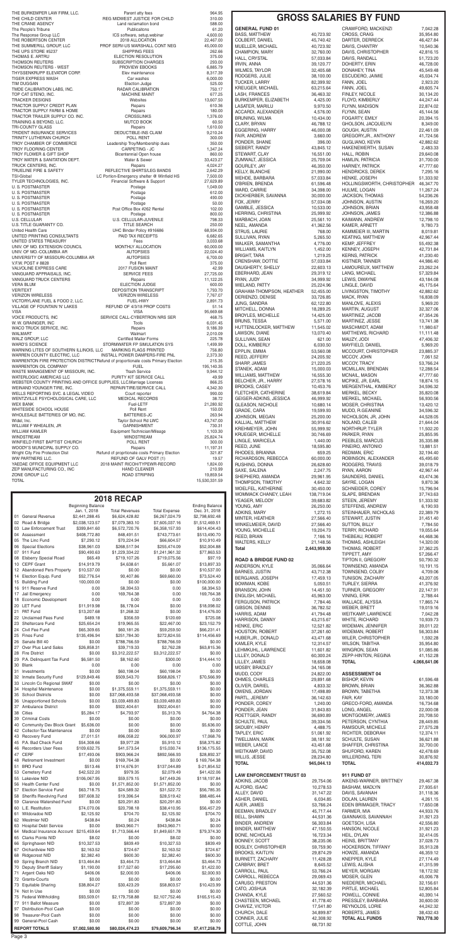|                                           | <b>Beginning Balance</b>       |                                         |                                        | <b>Ending Balance</b>           | YOUNG, AMY                                         | 26,250.00              | STEFFENS, ANDREW                                | 6,190.93               |
|-------------------------------------------|--------------------------------|-----------------------------------------|----------------------------------------|---------------------------------|----------------------------------------------------|------------------------|-------------------------------------------------|------------------------|
| 01 General Revenue                        | Jan. 1, 2018<br>\$2,441,288.45 | <b>Total Revenues</b><br>\$6,624,428.82 | <b>Total Expense</b><br>\$6,267,024.79 | Dec. 31, 2018<br>\$2,798,692.48 | ADKINS, MARY                                       | 1,272.15               | STEINHAUER, NICHOLAS                            | 22,389.79              |
| 02 Road & Bridge                          | \$2,038,123.57                 | \$7,079,383.10                          | \$7,605,037.16                         | \$1,512,469.51                  | MINTER, HEATHER                                    | 27,566.40              | STEWART, JUSTIN                                 | 31,451.40              |
| 03 Law Enforcement Trust                  | \$399,841.60                   | \$6,572,720.76                          | \$6,358,157.93                         | \$614,404.43                    | WINKELMEIER, DAVID                                 | 27.566.40              | <b>SUTTON, BILLY</b>                            | 7,784.50               |
| 04 Assessment                             | \$408,772.80                   | 848,491.51                              | \$743,773.61                           | \$513,490.70                    | YOUNG, MICHELLE                                    | 19,204.73              | <b>TERRY, RICHARD</b>                           | 19,055.64              |
| 05 The Linc Fund                          | \$7,290.12                     | \$70,224.94                             | \$66,604.57                            | \$10,910.49                     | REED, BRIAN                                        | 7,166.16               | THEBEAU, ROBERT                                 | 44,468.36              |
| 06 Special Elections                      | \$38,961.03                    | \$268,517.94                            | \$255,474.09                           | \$52,004.88                     | <b>WALTERS, KELLY</b>                              | 21,148.56              | THOMAS, ASHLEIGH                                | 14,320.00              |
| 07 911 Fund                               | \$90,490.63                    | \$1,229,334.22                          | \$1,241,961.32                         | \$77,863.53                     | Total                                              | 2,443,959.30           | THOMAS, ROBERT                                  | 37,362.25              |
| 08 Elsberry Special Road                  | \$65.49                        | \$719,107.26                            | \$719,075.56                           | \$97.19                         |                                                    |                        | TIPPETT, AMY                                    | 57,266.47              |
| 10 CEPF Grant                             | \$14,919.79                    | \$4,638.61                              | \$5,661.07                             | \$13,897.33                     | <b>ROAD &amp; BRIDGE FUND 02</b><br>ANDERSON, KYLE |                        | <b>TIPTON II, GREGORY</b>                       | 50,790.32              |
| 12 Abandoned Pers Property                | \$10,537.00                    | \$0.00                                  | \$0.00                                 | \$10,537.00                     |                                                    | 35,066.64              | TOWNSEND, AMANDA                                | 10,191.15              |
| 14 Election Equip. Fund                   | \$52,776.54                    | 90,407.86                               | \$69,660.00                            | \$73,524.40                     | <b>BARNES, JUSTIN</b>                              | 43,712.38<br>17,459.13 | TOWNSEND, COLBY                                 | 4,709.06<br>43,207.05  |
| 15 Building Fund                          | 100,000.00                     | \$0.00                                  | \$0.00                                 | \$100,000.00                    | BERGJANS, JOSEPH<br>BOWMAN, KOBE                   | 5,050.51               | <b>TUNISON, ZACHARY</b>                         | 41.376.92              |
| 16 911 Reserve Fund                       | 0.00                           | 58,394.53                               | 0.00                                   | 58,394.53                       | <b>BRANSON, JOHN</b>                               | 14,451.50              | <b>TURLEY, SIERRA</b><br><b>TURNER, GREGORY</b> | 22,147.91              |
| 17 Jail Emergency                         | 0.00                           | 169,764.38                              | 0.00                                   | 169,764.38                      | ENGLISH, MICHAEL                                   | 45,963.00              | VINING, ERIK                                    | 2,788.44               |
| 18 Economic Development                   | 0.00                           | 0.00                                    | 0.00                                   | 0.00                            | FERGUSON, PATRICK                                  | 7,784.46               | WALLACE, ALYSSA                                 | 17,865.74              |
| 20 LET Fund                               | \$11,919.98                    | \$6,178.04                              | \$0.00                                 | \$18,098.02                     | GIBSON, DENNIS                                     | 36,782.52              | <b>WEBER, BRETT</b>                             | 19,019.16              |
| 21 PAT Fund                               | \$13,207.68                    | \$1,268.32                              | \$0.00                                 | \$14,476.00                     | HARRIS, ADAM                                       | 41,794.48              | <b>WEITKAMP, LAWRENCE</b>                       | 7,042.28               |
| 22 Unclaimed Fees Fund                    | \$489.18                       | \$356.59                                | \$120.69                               | \$725.08                        | HARRISON, DANNY                                    | 43,215.67              | WHITE, RICHARD                                  | 10,939.73              |
| 23 Sheltercare Fund                       | \$25,654.24                    | \$19,965.55                             | \$22,467.00                            | \$23,152.79                     | <b>HENKE, ERIC</b>                                 | 12,521.82              | <b>WIDEMAN, JENNIFER</b>                        | 39,011.22              |
| 24 Civil Fee Fund                         | \$65,309.65                    | \$60,181.26                             | \$59,259.50                            | \$66,231.41                     | HOUSTON, ROBERT                                    | 37,261.60              | <b>WIDEMAN, ROBERT</b>                          | 56,303.84              |
| 25 Fines Fund                             | \$135,496.94                   | \$251,784.30                            | \$272,824.55                           | \$114,456.69                    | HUBER, JR., DONALD                                 | 43,471.68              | <b>WILER, CHRISTOPHER</b>                       | 1,592.28               |
| 26 Senate Bill 40                         | \$0.00                         | \$788,766.59                            | \$788,766.59                           | \$0.00                          | KAMLER, KYLE                                       | 12,314.57              | <b>WILSON, TABITHA</b>                          | 35,954.80              |
| 27 Over Plus Land Sales                   | \$26,858.31                    | \$39,719.33                             | \$2,762.28                             | \$63,815.36                     | LEHMKUHL, LAWRENCE                                 | 11,601.82              | WINGRON, SEAN                                   | 51,085.86              |
| 28 Fire District                          | \$0.00                         | \$3,312,222.57                          | \$3,312,222.57                         | \$0.00                          | LILLEY, DONALD                                     | 60,300.24              | ZEPP-HINTON, REGINA                             | 41,152.28              |
| 29 P.A. Delinquent Tax Fund               | \$6,581.50                     | \$8,162.60                              | \$300.00                               | \$14,444.10                     | LILLEY, JAMES                                      | 18,658.08              | <b>TOTAL</b>                                    | 4,066,641.06           |
| 30 Blank                                  | 0.00                           | 0.00                                    | 0.00                                   | 0.00                            | MOSBY, BRADLEY                                     | 34,165.08              |                                                 |                        |
| 31 Investments                            | \$0.00                         | \$60,198.04                             | \$60,198.04                            | \$0.00                          | MUDD, CODY                                         | 24,822.00              | <b>ASSESSMENT 04</b>                            |                        |
| 32 Inmate Security Fund                   | \$129,849.46                   | \$509,543.70                            | \$568,826.17                           | \$70,566.99                     | OHMES, CHARLES                                     | 29,891.68              | <b>BISHOP, KEVIN</b>                            | 61,596.48              |
| 33 Lincoln Co Regional SWAT               | \$0.00                         | \$0.00                                  | \$0.00                                 | \$0.00                          | OLIVER, DARIEL                                     | 4,833.32               | <b>BROWN, BRIAN</b>                             | 36,362.88              |
| 34 Hospital Maintenance                   | \$0.00                         | \$1,375,559.11                          | \$1,375,559.11                         | \$0.00                          | OWENS, JORDAN                                      | 17,498.89              | <b>BROWN, TABETHA</b>                           | 12,373.38              |
| 35 School Districts                       | \$0.00                         | \$37,068,493.58                         | \$37,068,493.58                        | \$0.00                          | PARTL, JEREMY                                      | 36,142.63              | FAIR, KAY                                       | 33,180.00              |
| 36 Unapportioned Schools                  | \$0.00                         | \$3,039,489.83                          | \$3,039,489.83                         | \$0.00                          | PONDER, COREY                                      | 1,240.00               | GRECO-FORD, AMANDA                              | 16,734.68              |
| 37 Ambulance District                     | \$0.00                         | \$922,404.61                            | \$922,404.61                           | \$0.00                          | PONDER, JEAN                                       | 31,843.83              | LONG, ANGEL                                     | 22,000.08              |
| 38 Cities                                 | \$5,284.17                     | \$4,793.97                              | \$5,313.76                             | \$4,764.38                      | ROETTGER, RANDY                                    | 36,690.89              | MONTGOMERY, JAMES                               | 20,708.50              |
| 39 Criminal Costs                         | \$0.00                         | \$0.00                                  | \$0.00                                 | \$0.00                          | SCHULTE, PAUL                                      | 39,334.56              | PETERSON, CYNTHIA                               | 28,449.85              |
| 40 Community Dev Block Grant \$5,636.00   |                                | \$0.00                                  | \$0.00                                 | \$5,636.00                      | SKOUBY, HENRY                                      | 4,488.75               | RAMSOUR, MICHELE                                | 27,575.28              |
| 42 Collector-Tax Maintenance              | \$0.00                         | \$0.00                                  | \$0.00                                 | \$0.00                          | TAPLEY, ERIC                                       | 51,061.92              | RICHTER, DEBORAH                                | 12,374.11              |
| 43 Recovery Fund                          | 27,011.51                      | 896,058.22                              | 906,000.97                             | 17,068.76                       | TWELLMAN, MARK                                     | 38,181.92              | <b>SCHULTE, SUSAN</b>                           | 36,621.88              |
| 45 P.A. Bad Check Fund                    | \$54,308.66                    | \$9,977.28                              | \$5,910.12                             | \$58,375.82                     | <b>WEBER, LANCE</b>                                | 43,451.68              | SHAFFER, CHRISTINA                              | 32.700.00              |
| 46 Recorders User Fees<br>47 CERF         | \$109,632.75<br>\$17,493.06    | \$41,573.54<br>\$903,966.24             | \$15,030.74<br>\$892,566.93            | \$136,175.55<br>\$28,892.37     | WEITKAMP, DAVID                                    | 35,752.08              | SHUFORD, KAREN                                  | 42,478.69              |
| 48 Retirement Investment                  | \$0.00                         | \$169,764.38                            | \$0.00                                 | \$169,764.38                    | WILLIS, JESSE                                      | 28,234.80              | <b>WILLERDING, TERI</b>                         | 30,876.92              |
| 51 BRO Fund                               | \$513.46                       | \$114,676.91                            | \$137,044.89                           | $$-21,854.52$                   | <b>TOTAL</b>                                       | 945,044.13             | <b>TOTAL</b>                                    | 414,032.73             |
| 53 Cemetery Fund                          | \$42,522.20                    | \$979.35                                | \$2,079.49                             | \$41,422.06                     |                                                    |                        |                                                 |                        |
| 55 Lakeview NID                           | \$106,067.95                   | \$59,579.15                             | \$47,449.26                            | \$118,197.84                    | <b>LAW ENFORCEMENT TRUST 03</b>                    |                        | 911 FUND 07                                     |                        |
| 56 Health Center Fund                     | \$0.00                         | \$1,571,852.00                          | \$1,571,852.00                         | \$0.00                          | ADKINS, JACOB                                      | 29,754.06              | AIKENS-WARNER, BRITTNEY                         | 29,467.38              |
| 57 Election Service Fund                  | \$63,718.75                    | \$24,589.32                             | \$31,522.72                            | \$56,785.35                     | ALFORD, ISAAC                                      | 10,278.53              | BASHAM, MADLYN                                  | 27,935.61              |
| 58 Sheriffs Revolving Fund                | \$97,608.32                    | \$19,396.54                             | \$28,519.42                            | \$88,485.44                     | ALLEY, DAVID                                       | 31,147.22              | DAVIS, SAVANAH                                  | 31,118.36              |
| 59 Clarence Watershed Fund                | \$0.00                         | \$20,291.83                             | \$20,291.83                            | \$0.00                          | ASHER, DANIEL                                      | 6,034.85               | DOLAN, LAUREN                                   | 4,261.15               |
| 60 L.E. Restitution                       | \$74,070.06                    | \$20,798.18                             | \$38,410.95                            | \$56,457.29                     | AUER, JAMES                                        | 53,766.24              | EDEN BRIMAGER, TRACY                            | 17,650.08              |
| 61 Wildoradoe NID                         | \$2,125.92                     | \$704.70                                | \$2,125.92                             | \$704.70                        | <b>BEEMAN, BRADLEY</b>                             | 45,717.44              | FARMER, MIA                                     | 44,933.76              |
| 62 Westmier NID                           | \$438.84                       | \$0.24                                  | \$438.84                               | \$0.24                          | <b>BELL, SHAWN</b>                                 | 44,531.36              | GIANNAKIS, SAVANNAH                             | 31,921.23              |
| 63 Hospital Debt Service                  | \$0.00                         | \$943,960.71                            | \$943,960.71                           | \$0.00                          | <b>BINDER, ANDREW</b>                              | 56,303.84              | GOETSCH, LISA                                   | 42,556.80              |
| 64 Medical Insurance Account \$215,459.64 |                                | \$1,713,566.44                          | \$1,849,651.78                         | \$79,374.30                     | <b>BINDER, MATTHEW</b>                             | 47,150.55              | HANSON, NICOLE                                  | 31,921.23              |
| 65 Clarks Pointe NID                      | \$8.02                         | \$0.00                                  | \$8.02                                 | \$0.00                          | <b>BONE, NICHOLAS</b>                              | 16,723.34              | HEIL, DYLAN                                     | 32,414.05              |
| 66 Springhaven NID                        | \$10,327.53                    | \$839.49                                | \$10,327.53                            | \$839.49                        | BONNEY, SCOTT                                      | 38,235.06              | <b>HEINS, BRITTANY</b>                          | 37,028.73              |
| 67 Orchardview NID                        | \$2,163.52                     | \$724.67                                | \$2,163.52                             | \$724.67                        | <b>BOSLEY, CHRISTOPHER</b>                         | 59,759.90              | HOCKERSON, TIFFANY                              | 35,913.28              |
| 68 Ridgecrest NID                         | \$2,382.40                     | \$600.30                                | \$2,382.40                             | \$600.30                        | <b>BROOKS, KAITLYN</b>                             | 29,874.29              | HOWZE, AMANDA                                   | 46,359.12              |
| 69 Spring Branch NID                      | \$13,464.84                    | \$3,464.73                              | \$13,464.84                            | \$3,464.73                      | <b>BURNETT, ZACHARY</b>                            | 11,428.28              | KNEPPER, KYLE                                   | 27,174.49              |
| 70 Deputy Sheriff Salary                  | \$1,190.00                     | \$17,527.60                             | \$17,295.60                            | \$1,422.00                      | CARBRAY, BRET<br>CARROLL, PAUL                     | 8,645.52<br>53,766.24  | LEWIS, ALISHA<br><b>MEYER, MORGAN</b>           | 41,315.99<br>18,172.92 |
| 71 Argent Oaks NID                        | \$406.06                       | \$2,000.93                              | \$406.06                               | \$2,000.93                      | CARROLL, REBECCA                                   | 29,069.43              | MOSER, GLEN                                     | 45,006.78              |
| 72 Grants-Courts                          | \$0.00                         | \$0.00                                  | \$0.00                                 | \$0.00                          | CARUSO, PRESTON                                    | 44,531.36              | NIEDERER, MICHAEL                               | 32,156.61              |
| 73 Equitable Sharing                      | \$38,804.27                    | \$30,423.29                             | \$58,803.57                            | \$10,423.99                     | CATO, JOSHUA                                       | 32,182.39              | PIRTLE, MICHAEL                                 | 52,805.84              |
| 74 Not In Use                             | \$0.00                         | \$0.00                                  | \$0.00                                 | \$0.00                          | CHANDA, KYLE                                       | 27,560.52              | POWELL, CONNIE                                  | 40,390.14              |
| 75 Federal Withholding                    | \$93,509.01                    | \$2,179,758.88                          | \$2,107,752.46                         | \$165,515.43                    | <b>CHASTEEN, MICHAEL</b>                           | 41,778.40              | PRESSLEY, BARBARA                               | 30,600.00              |
| 77 911 Ballot Measure                     | \$0.00                         | \$72,897.39                             | \$72,897.39                            | \$0.00                          | CHAVEZ, VICTOR                                     | 17,541.80              | REYNOLDS, LORIE                                 | 44,242.32              |
| 97 Distribution-Pool Cash                 | \$0.00                         | \$0.00                                  | \$0.00                                 | \$0.00                          | CHURCH, DALE                                       | 34,899.87              | ROBERTS, JAMES                                  | 38,432.43              |
| 98 Treasurer-Pool Cash                    | \$0.00                         | \$0.00                                  | \$0.00                                 | \$0.00                          | CONNER, JULIE                                      | 42,308.92              | <b>TOTAL ALL FUNDS</b>                          | 783,778.30             |
| 99 General-Pool Cash                      | \$0.00                         | \$0.00                                  | \$0.00                                 | \$0.00                          | COTTLE, JOHN                                       | 68,731.92              |                                                 |                        |
| <b>REPORT TOTALS</b>                      | \$7,002,580.90                 | \$80,024,474.23                         | \$79,609,796.34                        | \$7,417,258.79                  |                                                    |                        |                                                 |                        |

# **GROSS SALARIES BY FUND**

| THE CRANE AGENCY<br>The People's Tribune                                                                                                        | Land reclamation bond<br>Publicaitons                                             |                                   | - - - - -<br>588.00<br>61.20           | <b>GENERAL FUND 01</b>                               |                                     | 9ALAH ULU PI I VIIP<br>CRAWFORD, MACKENZI              | 7,042.28                  |
|-------------------------------------------------------------------------------------------------------------------------------------------------|-----------------------------------------------------------------------------------|-----------------------------------|----------------------------------------|------------------------------------------------------|-------------------------------------|--------------------------------------------------------|---------------------------|
| The Response Group LLC<br>THE ROBERTSON CENTER<br>THE SUMMERILL GROUP, LLC                                                                      | ICS software, setup, webinar<br>2018 ALLOCATION<br>PROF SERV-US MARSHALL CONT NEG |                                   | 4,600.00<br>22,467.00<br>45,000.00     | <b>BASS, MATTHEW</b><br>COLBERT, DANIEL              | 40,723.92<br>45,740.42              | <b>CROSS, CRAIG</b><br>DARTER, DERRECK                 | 35,954.80<br>46,427.84    |
| THE UPS STORE #5237<br>THOMAS E. ARTRU                                                                                                          | SHIPPING FEES<br>ELECTION RESOLUTION                                              |                                   | 262.66<br>375.00                       | MUELLER, MICHAEL<br>CHAMPION, MARY<br>HALL, CRYSTAL  | 40,723.92<br>32,760.00              | DAVIS, CHANTRY<br>DAVIS, CHRISTOPHER<br>DAVIS, RANDALL | 10,540.36<br>42,816.15    |
| <b>THOMSON REUTERS</b><br>THOMSON REUTERS - WEST                                                                                                | <b>SUBSCRIPTION CHARGES</b><br>PROVIEW EBOOKS                                     |                                   | 293.00<br>6,885.79                     | <b>IRVIN, ANNA</b>                                   | 57,033.84<br>39,120.77              | DOHERTY, ERIN                                          | 51,723.20<br>46.728.00    |
| THYSSENKRUPP ELEVATOR CORP.<br>TIGER EXPRESS WASH                                                                                               | Elev maintenance<br>Car washes                                                    |                                   | 8,317.39<br>6,000.00                   | <b>WILMES, TAYLOR</b><br>RODGERS, JULIE              | 32,405.68<br>38,100.00              | DONAHEY, TINA<br>ESCUDERO, JAIMIE                      | 45,549.48<br>45,034.74    |
| TIM DUGGAN<br>TMDE CALIBRATION LABS, INC.                                                                                                       | Election Judge<br>RADAR CALIBRATION                                               |                                   | 525.00<br>750.17                       | <b>TUCKER, LARRY</b><br><b>KREUGER, MICHAEL</b>      | 82,399.92<br>63,215.64              | FANN, JOEL<br>FANN, JOEL                               | 2,923.20<br>49,605.74     |
| TOP CAT STENO. INC.<br><b>TRACKER DESIGNS</b>                                                                                                   | <b>MACHINE MAINT</b><br>Websites                                                  |                                   | 677.25<br>13,607.50                    | LASH, FRANCES<br>BURKEMPER, ELIZABETH                | 36,463.32<br>4,425.00               | <b>FINLEY, NICOLE</b><br>FLOYD, KIMBERLY               | 30,134.20<br>44,247.44    |
| <b>TRACTOR SUPPLY CREDIT PLAN</b><br>TRACTOR SUPPLY FARM & HOME                                                                                 | Repairs<br>Repairs                                                                |                                   | 610.36<br>180.00                       | LASATER, MARILU<br>ACCARDI, ALEXANDER                | 9,970.50<br>4,576.00                | FLYNN, MADISON<br>FLYNN, SEAN                          | 22,874.02<br>45,144.56    |
| TRACTOR TRAILER SUPPLY CO. INC.<br>TRAINING & BEYOND, LLC.<br><b>TRI-COUNTY GLASS</b>                                                           | <b>CROSSLINKS</b><br><b>MUTCD BOOK</b><br>Repairs                                 |                                   | 1,376.00<br>60.50<br>1,610.00          | <b>BRUNING, WILMA</b><br>CLARY, BRYAN                | 10,434.00<br>46,788.12              | <b>FOGARTY, EMILY</b><br>GHOLSON, JACQUELYN            | 20,394.15<br>8,349.00     |
| TRIDENT INSURANCE SERVICES<br>TRINITY LUTHERAN CHURCH                                                                                           | DEDUCTIBLE-INS CLAIM<br>POLL RENT                                                 |                                   | 9,210.24<br>300.00                     | <b>EGGERING, HARRY</b><br>FAIR, ANDREW               | 46,000.08<br>3,660.00               | GOUGH, AUSTIN<br>GREGORY, JR., ANTHONY                 | 22,461.09<br>41,724.56    |
| TROY CHAMBER OF COMMERCE<br>TROY FLOORING CENTER                                                                                                | Leadership Troy/Membership dues<br>CARPETING - JC                                 |                                   | 350.00<br>1,347.24                     | PONDER, SHANE<br>SIEBERT, RANDY                      | 396.00<br>43,845.12                 | GUGLIANO, KEVIN<br>HAKENEWERTH, SUSAN                  | 42,882.62<br>2,483.33     |
| TROY FLOWER & GIFT SHOP<br>TROY WATER & SANITATION DEPT.                                                                                        | <b>Bicentennial Open house</b><br>Water & Sewer                                   |                                   | 860.00<br>33,423.27                    | STEWART, CLAY<br>ZUMWALT, JESSICA                    | 16,551.00<br>25,709.04              | <b>HALL, ROBIN</b><br>HAMLIN, PATRICIA                 | 29,640.08<br>31,700.00    |
| TRUCK CENTERS, INC.<br>TRUELINE FIRE & SAFETY                                                                                                   | Repairs<br>REFLECTIVE SHIRTS/LEG BANDS                                            |                                   | 4,024.27<br>2,642.29                   | GOURLEY, JAY<br><b>KELLY, BLANCHE</b>                | 46,350.00<br>21,990.00              | <b>HARNEY, PATRICK</b><br><b>HENDRICKS, DEREK</b>      | 47,777.60<br>7,295.16     |
| <b>TSI-Global</b><br>TYLER TECHNOLOGIES, INC.                                                                                                   | LC Portion-Emergency shelter @ Winfield HS<br>Financial Software & Support        |                                   | 7,500.00<br>27,629.89                  | WEHDE, BARBARA                                       | 57,033.84                           | <b>HENKE, JOSEPH</b>                                   | 51,333.92                 |
| <b>U.S. POSTMASTER</b><br>U. S. POSTMASTER                                                                                                      | Postage<br>Postage                                                                |                                   | 1,049.00<br>612.00                     | O'BRIEN, BRENDA<br>WARD, CARRIE                      | 61,596.48<br>34,398.00              | HOLLINGSWORTH, CHRISTOPHER<br>HULME, LOGAN             | 46,347.70<br>11,267.24    |
| U. S. POSTMASTER<br>U. S. POSTMASTER                                                                                                            | Postage<br>Postage                                                                |                                   | 490.00<br>50.00                        | DICKHERBER, SAVANNA<br>FOX, JERRY                    | 30,000.00<br>57,034.08              | JACKSON, THOMAS<br>JOHNSON, AUSTIN                     | 54,236.26<br>16,269.20    |
| U. S. POSTMASTER<br>U.S. POSTMASTER                                                                                                             | Post Office Box #262 Rental<br>Postage                                            |                                   | 102.00<br>800.00                       | GAMBLE, JESSICA<br>HERRING, CHRISTINA                | 10,533.00<br>25,999.92              | JOHNSON, BRIAN<br>JOHNSON, JAMES                       | 43,958.48<br>12,386.88    |
| U.S. CELLULAR<br>U.S. TITLE GUARANTY CO.                                                                                                        | U.S. CELLULAR-JUVENILE<br><b>TITLE SEARCH</b>                                     |                                   | 798.33<br>250.00                       | MARBACH, JOAN<br>NEEL, AMANDA                        | 25,561.10<br>41,362.56              | KAIMANN, ANDREW<br><b>KAMER, ARNETT</b>                | 12,798.10<br>9,780.73     |
| United Health Care<br>UNITED PRINTING CONSULTANTS                                                                                               | UHC Binder Policy #916686<br>PAID TAX RECEIPTS                                    |                                   | 68,934.00<br>6,682.65                  | STRUS, LAURIE<br>SULLIVAN, RYAN                      | 768.00<br>5,265.50                  | KAMMEIER III, MARTIN<br><b>KEATING, MATTHEW</b>        | 8,019.81<br>42,967.44     |
| UNITED STATES TREASURY<br>UNIV. OF MO. EXTENSION COUNCIL                                                                                        | Fees<br>MONTHLY ALLOCATION                                                        |                                   | 3,033.68<br>60,000.00                  | WALKER, SAMANTHA<br><b>WILLIAMS, KAITLYN</b>         | 4,776.00<br>1,452.00                | <b>KEMP, JEFFREY</b>                                   | 55,492.38<br>42,731.84    |
| UNIV. OF MO.-COLUMBIA AR<br>UNIVERSITY OF MISSOURI-COLUMBIA AR                                                                                  | <b>AUTOPSIES</b><br><b>AUTOPSIES</b>                                              |                                   | 22,024.40<br>6,700.00                  | <b>BRIGHT, TARA</b>                                  | 1,219.25                            | <b>KENNEY, JOSEPH</b><br><b>KERNS, PATRICK</b>         | 41,230.40                 |
| V.F.W. POST # 8828<br>VALVOLINE EXPRESS CARE                                                                                                    | Poll Rent<br>2017 FUSION MAINT                                                    |                                   | 375.00<br>42.99                        | CRENSHAW, DOTTIE<br>DAUGHERTY, SHELLY                | 57,033.84<br>22,603.13              | KISTNER, TANNER<br>LAMOUREUX, MATTHEW                  | 44,986.40<br>23,262.24    |
| VANGUARD APPRAISALS, INC.<br>VANGUARD TRUCK CENTERS                                                                                             | <b>SERVICE FEES</b><br>Repairs                                                    |                                   | 27,725.00<br>11,122.25                 | EBERHARD, JEAN<br>RYAN, JUDY                         | 29,319.12<br>34,999.92              | LANG, MICHAEL<br>LEWIS, DWAYNE                         | 57,329.84<br>43,184.08    |
| <b>VERA BLUM</b><br><b>VERITEXT</b>                                                                                                             | <b>ELECTION JUDGE</b><br>DEPOSITION TRANSCRIPT                                    |                                   | 600.00<br>1,793.70                     | <b>WIELAND, PATTY</b><br>GRAHAM-THOMPSON, HEATHER    | 25,224.96<br>52,455.00              | LINGLE, DAVID<br>LIVINGSTON, TIMOTHY                   | 45,175.64<br>42,882.62    |
| <b>VERIZON WIRELESS</b><br>VICTORYLANE FUEL & FOOD 2, LLC.                                                                                      | <b>VERIZON WIRELESS</b><br>FUEL-HWY                                               |                                   | 7,767.07<br>2,891.73                   | DERIENZO, DENISE<br>JUNG, SANDRA                     | 33,726.85<br>62,122.80              | MACK, RYAN<br>MANLOVE, ALEXIS                          | 16,838.09<br>5,969.20     |
| <b>VILLAGE OF FOUNTAIN 'N' LAKES</b><br><b>VISA</b>                                                                                             | REFUND OF 4/3/18 PROP COSTS<br><b>VISA</b>                                        |                                   | 51.14<br>95,669.68                     | MITCHELL, DONNA<br><b>BROYLES, MICHELLE</b>          | 18,289.25<br>14,425.00              | MARTIN, AUGUST<br>MARTINEZ, JACOB                      | 32,327.06<br>47.354.26    |
| VOICE PRODUCTS, INC<br>W. W. GRAINGER. INC                                                                                                      | SERVICE CALL-CYBERTRON NRS SER<br>Tools                                           |                                   | 468.75<br>6,031.45                     | <b>BRUNS, TESSA</b>                                  | 5,571.00                            | MARTINEZ, JESSE                                        | 13,741.38                 |
| WACO TRUCK SERVICE, INC.<br><b>WALMART</b>                                                                                                      | Repairs<br>Walmart                                                                |                                   | 9,186.39<br>2,010.09                   | HUTTENLOCKER, MATTHEW<br>LAWSON, DIANE               | 11,545.02<br>13.070.40              | MASCHMIDT, ADAM<br>MATTHEWS, RICHARD                   | 11,980.67<br>11,111.48    |
| WALZ GROUP, LLC<br><b>WARD'S SCIENCE</b>                                                                                                        | <b>Certified Mailer Forms</b><br>STORMWATER FP SIMULATION SYS                     |                                   | 225.78<br>1,499.99                     | SULLIVAN, SEAN<br>DOLL, KIMBERLY                     | 621.00<br>6,030.50                  | MAUZY, JODI<br>MAYFIELD, DANIEL                        | 47,406.32<br>5,969.20     |
| WARNING LITES OF SOUTHERN ILLINOIS, LLC<br>WARREN COUNTY ELECTRIC, LLC                                                                          | <b>MARKING FLAGS PRINTED</b><br>INSTALL POWER DAMPERS-FIRE PNL                    |                                   | 756.80<br>2,373.30                     | EPPLIN, EMMA<br>REED, JEFFERY                        | 53,560.08<br>24,205.92              | MCCOURT, CHRISTOPHER<br>MCCOY, JOHN                    | 23,885.37<br>7,061.52     |
| WARRENTON FIRE PROTECTION DISTRICTRefund of proportionate costs Primary Election<br>WARRENTON OIL COMPANY<br>WASTE MANAGEMENT OF MISSOURI, INC. | <b>FUEL</b><br><b>Trash Service</b>                                               |                                   | 215.35<br>195,140.35<br>9,944.12       | SHARP, JAMES<br>STANEK, ADAM                         | 21,220.25<br>15,000.03              | MCCOY, TRACY<br>MCMILLAN, BRENDAN                      | 53,766.24<br>12,288.54    |
| WATERLOGIC AMERICAS LLC<br>WEBSTER COUNTY PRINTING AND OFFICE SUPPLIES, LLC.Marriage Licenses                                                   | PURITY KIT SERVICE CALL                                                           |                                   | 49.99<br>866.25                        | WILLIAMS, MATTHEW<br>BELCHER, JR., HARRY             | 16,555.30<br>27,578.16              | MCNAIL, MASON<br>MCPIKE, JR, EARL                      | 47,777.60<br>18,874.15    |
| WEINAND YOUNGER TIRE, INC.<br>WELLS REPORTING SVC. & LEGAL VIDEO                                                                                | REPAIR/TIRE/SERVICE CALL<br>Court reporter                                        |                                   | 4,342.30<br>990.00                     | <b>BROOKS, CASEY</b><br>FLETCHER, CATHERINE          | 10,453.76<br>38,619.84              | MERGENTHAL, KIMBERLY<br><b>MERKEL, BECKY</b>           | 34,596.32<br>35,820.08    |
| WENTZVILLE PSYCHOLOGICAL CARE, LLC<br><b>WEX BANK</b>                                                                                           | <b>MEDICAL RECORDS</b><br>Fuel-LETF                                               |                                   | 38.72<br>21,280.92                     | GEIGER-ADKINS, JESSICA<br><b>GLEASON, NICHOLE</b>    | 46,999.92<br>10,680.14              | MERKEL, MICHAEL                                        | 56,930.56                 |
| WHITESIDE SCHOOL HOUSE<br>WHOLESALE BATTERIES OF MO, INC.                                                                                       | Poll Rent<br>BATTERIES-JC                                                         |                                   | 150.00<br>263.94                       | GRADE, CARA                                          | 19,599.93                           | MOSER, CHRISTINA<br>MUDD, R.GEANINE                    | 13,420.12<br>34,596.32    |
| Widel, Inc.<br>WILLIAM F WHEALEN, JR                                                                                                            | Taylor School Rd LWC<br><b>GARNISHMENT</b>                                        |                                   | 43,747.00<br>730.31                    | JOHNSON, MEGAN<br>KALLIAL, MATTHEW                   | 25,200.00<br>30,916.62              | NICHOLSON, JR, JOHN<br>NOLAND, CALEB                   | 44,528.05<br>21,644.04    |
| <b>WILLIAM KAMLER</b><br><b>WINDSTREAM</b>                                                                                                      | Equipment Technician/Mileage<br><b>WINDSTREAM</b>                                 |                                   | 1,103.30<br>25,824.74                  | KREHMEYER, JOHN<br>KRUEGER, MICHELLE                 | 55,999.92<br>30,746.69              | NORTHRUP, TYLER<br>PARKER, RYAN                        | 11,502.20<br>25,855.95    |
| WINFIELD FIRST BAPTIST CHURCH<br>WOODY'S MUNICIPAL SUPPLY CO.                                                                                   | POLL RENT<br>Repairs                                                              |                                   | 300.00<br>11,197.31                    | LINGLE, MARICELA<br>REED, JUNE                       | 1,440.00<br>18,595.80               | PEEBLES, MARCUS<br>PINEIRO, ANTONIO                    | 35,335.88<br>13,881.51    |
| Wright City Fire Protection Dist<br>WW PARTNERS LLC.                                                                                            | Refund of proprtionate costs Primary Election<br>REFUND OF GALV POST (1)          |                                   | 321.87<br>19.57                        | RHODES, BRIANNA<br>RICHARDSON, REBECCA               | 659.25<br>60,000.00                 | REDMAN, ERIC<br>ROBINSON, ALEXANDER                    | 32,194.40<br>45,495.60    |
| YAEDAE OFFICE EQUIPMENT LLC                                                                                                                     |                                                                                   |                                   |                                        |                                                      |                                     |                                                        |                           |
| ZEP MANUFACTURING CO., INC                                                                                                                      | 2018 MAINT RICOH/TYPEWR-RECORD<br><b>HAND CLEANER</b>                             |                                   | 1,824.00<br>210.99                     | RUSHING, DONNA                                       | 26,628.60                           | RODGERS, TRAVIS                                        | 39,018.79                 |
| ZONE GROUP LLC<br><b>TOTAL</b>                                                                                                                  | <b>ROAD STRIPING</b>                                                              |                                   | 19,859.54<br>15,530,331.59             | SAXE, SALENA<br>SHEPHERD, AMANDA                     | 2,247.75<br>29,961.95               | RYAN, AARON<br>SAUNDERS, DANIEL                        | 42,967.44<br>43,474.36    |
|                                                                                                                                                 |                                                                                   |                                   |                                        | THOMPSON, TIMOTHY<br>WOELFEL, KATHERINE              | 4,642.32<br>30,450.00               | SAYRE, LOGAN<br>SCHNEIDER, COREY                       | 9,870.36<br>15,796.94     |
|                                                                                                                                                 | <b>2018 RECAP</b>                                                                 |                                   |                                        | WOMMACK CHANEY, LEAH<br>YEAGER, MELODY               | 138,719.04<br>39,683.82             | SLAPE, BRENDAN<br>STEEN, JEREMY                        | 37,743.63<br>51,333.92    |
| <b>Beginning Balance</b><br>Jan. 1, 2018                                                                                                        | <b>Total Revenues</b>                                                             | <b>Total Expense</b>              | <b>Ending Balance</b><br>Dec. 31, 2018 | YOUNG, AMY<br>ADKINS, MARY                           | 26,250.00<br>1,272.15               | STEFFENS, ANDREW<br>STEINHAUER, NICHOLAS               | 6,190.93<br>22,389.79     |
| 01 General Revenue<br>\$2,441,288.45<br>02 Road & Bridge<br>\$2,038,123.57                                                                      | \$6,624,428.82<br>\$7,079,383.10                                                  | \$6,267,024.79<br>\$7,605,037.16  | \$2,798,692.48<br>\$1,512,469.51       | MINTER, HEATHER<br>WINKELMEIER, DAVID                | 27,566.40<br>27,566.40              | STEWART, JUSTIN<br><b>SUTTON, BILLY</b>                | 31,451.40<br>7,784.50     |
| 03 Law Enforcement Trust<br>\$399,841.60<br>04 Assessment<br>\$408,772.80                                                                       | \$6,572,720.76<br>848,491.51                                                      | \$6,358,157.93<br>\$743,773.61    | \$614,404.43<br>\$513,490.70           | YOUNG, MICHELLE<br>REED, BRIAN                       | 19,204.73<br>7,166.16               | <b>TERRY, RICHARD</b><br>THEBEAU, ROBERT               | 19,055.64<br>44,468.36    |
| 05 The Linc Fund<br>\$7,290.12<br>06 Special Elections<br>\$38,961.03                                                                           | \$70,224.94<br>\$268,517.94                                                       | \$66,604.57<br>\$255,474.09       | \$10,910.49<br>\$52,004.88             | <b>WALTERS, KELLY</b><br>Total                       | 21,148.56<br>2,443,959.30           | THOMAS, ASHLEIGH<br>THOMAS, ROBERT                     | 14,320.00<br>37,362.25    |
| 07 911 Fund<br>\$90,490.63<br>08 Elsberry Special Road<br>\$65.49                                                                               | \$1,229,334.22<br>\$719,107.26                                                    | \$1,241,961.32<br>\$719,075.56    | \$77,863.53<br>\$97.19                 | <b>ROAD &amp; BRIDGE FUND 02</b>                     |                                     | TIPPETT, AMY                                           | 57,266.47                 |
| 10 CEPF Grant<br>\$14,919.79<br>12 Abandoned Pers Property<br>\$10,537.00                                                                       | \$4,638.61<br>\$0.00                                                              | \$5,661.07<br>\$0.00              | \$13,897.33<br>\$10,537.00             | ANDERSON, KYLE                                       | 35,066.64                           | TIPTON II, GREGORY<br>TOWNSEND, AMANDA                 | 50,790.32<br>10,191.15    |
| 14 Election Equip. Fund<br>\$52,776.54<br>15 Building Fund<br>100,000.00                                                                        | 90,407.86<br>\$0.00                                                               | \$69,660.00<br>\$0.00             | \$73,524.40<br>\$100,000.00            | <b>BARNES, JUSTIN</b><br>BERGJANS, JOSEPH            | 43,712.38<br>17,459.13              | TOWNSEND, COLBY<br>TUNISON, ZACHARY                    | 4,709.06<br>43,207.05     |
| 16 911 Reserve Fund<br>0.00                                                                                                                     | 58,394.53                                                                         | 0.00                              | 58,394.53                              | BOWMAN, KOBE<br>BRANSON, JOHN                        | 5,050.51<br>14,451.50               | <b>TURLEY, SIERRA</b><br><b>TURNER, GREGORY</b>        | 41,376.92<br>22,147.91    |
| 17 Jail Emergency<br>0.00<br>18 Economic Development<br>0.00                                                                                    | 169,764.38<br>0.00                                                                | 0.00<br>0.00                      | 169,764.38<br>0.00                     | ENGLISH, MICHAEL<br>FERGUSON, PATRICK                | 45,963.00<br>7,784.46               | <b>VINING, ERIK</b><br>WALLACE, ALYSSA                 | 2,788.44<br>17,865.74     |
| 20 LET Fund<br>\$11,919.98<br>21 PAT Fund<br>\$13,207.68                                                                                        | \$6,178.04<br>\$1,268.32                                                          | \$0.00<br>\$0.00                  | \$18,098.02<br>\$14,476.00             | GIBSON, DENNIS<br><b>HARRIS, ADAM</b>                | 36,782.52<br>41,794.48              | <b>WEBER, BRETT</b><br><b>WEITKAMP, LAWRENCE</b>       | 19,019.16<br>7,042.28     |
| 22 Unclaimed Fees Fund<br>\$489.18<br>23 Sheltercare Fund<br>\$25,654.24                                                                        | \$356.59<br>\$19,965.55                                                           | \$120.69<br>\$22,467.00           | \$725.08<br>\$23,152.79                | HARRISON, DANNY<br><b>HENKE, ERIC</b>                | 43,215.67<br>12,521.82              | <b>WHITE, RICHARD</b><br>WIDEMAN, JENNIFER             | 10,939.73<br>39,011.22    |
| 24 Civil Fee Fund<br>\$65,309.65<br>25 Fines Fund<br>\$135,496.94                                                                               | \$60,181.26<br>\$251,784.30                                                       | \$59,259.50<br>\$272,824.55       | \$66,231.41<br>\$114,456.69            | HOUSTON, ROBERT<br>HUBER, JR., DONALD                | 37,261.60<br>43,471.68              | <b>WIDEMAN, ROBERT</b><br>WILER, CHRISTOPHER           | 56,303.84<br>1,592.28     |
| 26 Senate Bill 40<br>\$0.00<br>27 Over Plus Land Sales<br>\$26,858.31                                                                           | \$788,766.59<br>\$39,719.33                                                       | \$788,766.59<br>\$2,762.28        | \$0.00<br>\$63,815.36                  | KAMLER, KYLE<br>LEHMKUHL, LAWRENCE                   | 12,314.57<br>11,601.82              | <b>WILSON, TABITHA</b><br>WINGRON, SEAN                | 35,954.80<br>51,085.86    |
| 28 Fire District<br>\$0.00<br>29 P.A. Delinguent Tax Fund<br>\$6,581.50                                                                         | \$3,312,222.57<br>\$8,162.60                                                      | \$3,312,222.57<br>\$300.00        | \$0.00<br>\$14,444.10                  | LILLEY, DONALD<br>LILLEY, JAMES                      | 60,300.24<br>18,658.08              | ZEPP-HINTON, REGINA<br><b>TOTAL</b>                    | 41,152.28<br>4,066,641.06 |
| 30 Blank<br>0.00<br>31 Investments<br>\$0.00                                                                                                    | 0.00<br>\$60,198.04                                                               | 0.00<br>\$60,198.04               | 0.00<br>\$0.00                         | MOSBY, BRADLEY<br>MUDD, CODY                         | 34,165.08<br>24,822.00              | <b>ASSESSMENT 04</b>                                   |                           |
| 32 Inmate Security Fund<br>\$129,849.46<br>33 Lincoln Co Regional SWAT<br>\$0.00                                                                | \$509,543.70<br>\$0.00                                                            | \$568,826.17<br>\$0.00            | \$70,566.99<br>\$0.00                  | OHMES, CHARLES                                       | 29,891.68                           | <b>BISHOP, KEVIN</b>                                   | 61,596.48                 |
| 34 Hospital Maintenance<br>\$0.00<br>35 School Districts<br>\$0.00                                                                              | \$1,375,559.11<br>\$37,068,493.58                                                 | \$1,375,559.11<br>\$37,068,493.58 | \$0.00<br>\$0.00                       | OLIVER, DARIEL<br>OWENS, JORDAN                      | 4,833.32<br>17,498.89               | <b>BROWN, BRIAN</b><br>BROWN, TABETHA                  | 36,362.88<br>12,373.38    |
| 36 Unapportioned Schools<br>\$0.00<br>\$0.00<br>37 Ambulance District                                                                           | \$3,039,489.83<br>\$922,404.61                                                    | \$3,039,489.83<br>\$922,404.61    | \$0.00<br>\$0.00                       | PARTL, JEREMY<br>PONDER, COREY                       | 36,142.63<br>1,240.00               | FAIR, KAY<br>GRECO-FORD, AMANDA                        | 33,180.00<br>16,734.68    |
| 38 Cities<br>\$5,284.17                                                                                                                         | \$4,793.97                                                                        | \$5,313.76                        | \$4,764.38                             | PONDER, JEAN<br>ROETTGER, RANDY                      | 31,843.83<br>36,690.89              | LONG, ANGEL<br>MONTGOMERY, JAMES                       | 22,000.08<br>20,708.50    |
| 39 Criminal Costs<br>\$0.00<br>40 Community Dev Block Grant<br>\$5,636.00                                                                       | \$0.00<br>\$0.00                                                                  | \$0.00<br>\$0.00                  | \$0.00<br>\$5,636.00                   | SCHULTE, PAUL<br>SKOUBY, HENRY                       | 39,334.56<br>4,488.75               | PETERSON, CYNTHIA<br>RAMSOUR, MICHELE                  | 28,449.85<br>27,575.28    |
| 42 Collector-Tax Maintenance<br>\$0.00<br>27,011.51<br>43 Recovery Fund                                                                         | \$0.00<br>896,058.22                                                              | \$0.00<br>906,000.97              | \$0.00<br>17,068.76                    | <b>TAPLEY, ERIC</b><br>TWELLMAN, MARK                | 51,061.92<br>38,181.92              | RICHTER, DEBORAH<br>SCHULTE, SUSAN                     | 12,374.11<br>36,621.88    |
| 45 P.A. Bad Check Fund<br>\$54,308.66<br>46 Recorders User Fees<br>\$109,632.75                                                                 | \$9,977.28<br>\$41,573.54                                                         | \$5,910.12<br>\$15,030.74         | \$58,375.82<br>\$136,175.55            | <b>WEBER, LANCE</b><br>WEITKAMP, DAVID               | 43,451.68<br>35,752.08              | SHAFFER, CHRISTINA<br>SHUFORD, KAREN                   | 32,700.00<br>42,478.69    |
| 47 CERF<br>\$17,493.06<br>48 Retirement Investment<br>\$0.00                                                                                    | \$903,966.24<br>\$169,764.38                                                      | \$892,566.93<br>\$0.00            | \$28,892.37<br>\$169,764.38            | WILLIS, JESSE<br><b>TOTAL</b>                        | 28,234.80<br>945,044.13             | <b>WILLERDING, TERI</b><br><b>TOTAL</b>                | 30,876.92<br>414,032.73   |
| 51 BRO Fund<br>\$513.46<br>\$42,522.20<br>53 Cemetery Fund                                                                                      | \$114,676.91<br>\$979.35                                                          | \$137,044.89<br>\$2,079.49        | \$-21,854.52<br>\$41,422.06            |                                                      |                                     |                                                        |                           |
| \$106,067.95<br>55 Lakeview NID<br>56 Health Center Fund<br>\$0.00                                                                              | \$59,579.15<br>\$1,571,852.00                                                     | \$47,449.26<br>\$1,571,852.00     | \$118,197.84<br>\$0.00                 | <b>LAW ENFORCEMENT TRUST 03</b><br>ADKINS, JACOB     | 29,754.06                           | 911 FUND 07<br>AIKENS-WARNER, BRITTNEY                 | 29,467.38                 |
| \$63,718.75<br>57 Election Service Fund<br>58 Sheriffs Revolving Fund<br>\$97,608.32                                                            | \$24,589.32<br>\$19,396.54                                                        | \$31,522.72<br>\$28,519.42        | \$56,785.35<br>\$88,485.44             | ALFORD, ISAAC<br>ALLEY, DAVID                        | 10,278.53<br>31,147.22              | BASHAM, MADLYN<br>DAVIS, SAVANAH                       | 27,935.61<br>31,118.36    |
| 59 Clarence Watershed Fund<br>\$0.00<br>60 L.E. Restitution<br>\$74,070.06                                                                      | \$20,291.83<br>\$20,798.18                                                        | \$20,291.83<br>\$38,410.95        | \$0.00<br>\$56,457.29                  | ASHER, DANIEL<br>AUER, JAMES                         | 6,034.85<br>53,766.24               | DOLAN, LAUREN<br>EDEN BRIMAGER, TRACY                  | 4,261.15<br>17,650.08     |
| 61 Wildoradoe NID<br>\$2,125.92<br>62 Westmier NID<br>\$438.84                                                                                  | \$704.70<br>\$0.24                                                                | \$2,125.92<br>\$438.84            | \$704.70<br>\$0.24                     | BEEMAN, BRADLEY<br><b>BELL, SHAWN</b>                | 45,717.44<br>44,531.36              | FARMER, MIA<br>GIANNAKIS, SAVANNAH                     | 44,933.76<br>31,921.23    |
| 63 Hospital Debt Service<br>\$0.00                                                                                                              | \$943,960.71                                                                      | \$943,960.71                      | \$0.00                                 | BINDER, ANDREW<br><b>BINDER, MATTHEW</b>             | 56,303.84<br>47,150.55              | GOETSCH, LISA<br>HANSON, NICOLE                        | 42,556.80<br>31,921.23    |
| 64 Medical Insurance Account \$215,459.64<br>65 Clarks Pointe NID<br>\$8.02                                                                     | \$1,713,566.44<br>\$0.00                                                          | \$1,849,651.78<br>\$8.02          | \$79,374.30<br>\$0.00                  | BONE, NICHOLAS<br><b>BONNEY, SCOTT</b>               | 16,723.34<br>38,235.06              | HEIL, DYLAN<br><b>HEINS, BRITTANY</b>                  | 32,414.05<br>37,028.73    |
| 66 Springhaven NID<br>\$10,327.53<br>67 Orchardview NID<br>\$2,163.52                                                                           | \$839.49<br>\$724.67                                                              | \$10,327.53<br>\$2,163.52         | \$839.49<br>\$724.67                   | <b>BOSLEY, CHRISTOPHER</b><br><b>BROOKS, KAITLYN</b> | 59,759.90<br>29,874.29              | HOCKERSON, TIFFANY<br>HOWZE, AMANDA                    | 35,913.28<br>46,359.12    |
| 68 Ridgecrest NID<br>\$2,382.40<br>69 Spring Branch NID<br>\$13,464.84                                                                          | \$600.30<br>\$3,464.73                                                            | \$2,382.40<br>\$13,464.84         | \$600.30<br>\$3,464.73                 | <b>BURNETT, ZACHARY</b><br>CARBRAY, BRET             | 11,428.28<br>8,645.52               | KNEPPER, KYLE<br>LEWIS, ALISHA                         | 27,174.49<br>41,315.99    |
| 70 Deputy Sheriff Salary<br>\$1,190.00<br>71 Argent Oaks NID<br>\$406.06                                                                        | \$17,527.60<br>\$2,000.93                                                         | \$17,295.60<br>\$406.06           | \$1,422.00<br>\$2,000.93               | CARROLL, PAUL<br>CARROLL, REBECCA                    | 53,766.24<br>29,069.43              | <b>MEYER, MORGAN</b><br>MOSER, GLEN                    | 18,172.92<br>45,006.78    |
| 72 Grants-Courts<br>\$0.00<br>73 Equitable Sharing<br>\$38,804.27                                                                               | \$0.00<br>\$30,423.29                                                             | \$0.00<br>\$58,803.57             | \$0.00<br>\$10,423.99                  | CARUSO, PRESTON                                      | 44,531.36                           | NIEDERER, MICHAEL                                      | 32,156.61                 |
| 74 Not In Use<br>\$0.00<br>75 Federal Withholding<br>\$93,509.01                                                                                | \$0.00<br>\$2,179,758.88                                                          | \$0.00<br>\$2,107,752.46          | \$0.00<br>\$165,515.43                 | CATO, JOSHUA<br>CHANDA, KYLE                         | 32,182.39<br>27,560.52              | PIRTLE, MICHAEL<br>POWELL, CONNIE                      | 52,805.84<br>40,390.14    |
| 77 911 Ballot Measure<br>\$0.00<br>97 Distribution-Pool Cash<br>\$0.00                                                                          | \$72,897.39<br>\$0.00                                                             | \$72,897.39<br>\$0.00             | \$0.00<br>\$0.00                       | <b>CHASTEEN, MICHAEL</b><br>CHAVEZ, VICTOR           | 41,778.40<br>17,541.80              | PRESSLEY, BARBARA<br>REYNOLDS, LORIE                   | 30,600.00<br>44,242.32    |
| 98 Treasurer-Pool Cash<br>\$0.00<br>99 General-Pool Cash<br>\$0.00                                                                              | \$0.00<br>\$0.00                                                                  | \$0.00<br>\$0.00                  | \$0.00<br>\$0.00                       | CHURCH, DALE<br>CONNER, JULIE<br>COTTLE, JOHN        | 34,899.87<br>42,308.92<br>68,731.92 | ROBERTS, JAMES<br><b>TOTAL ALL FUNDS</b>               | 38,432.43<br>783,778.30   |

| THE BURKEMPER LAW FIRM, LLC.                                       | Parent atty fees                                                                 | 964.95        |
|--------------------------------------------------------------------|----------------------------------------------------------------------------------|---------------|
| THE CHILD CENTER                                                   | REG MIDWEST JUSTICE FOR CHILD                                                    | 310.00        |
|                                                                    |                                                                                  |               |
| THE CRANE AGENCY                                                   | Land reclamation bond                                                            | 588.00        |
| The People's Tribune                                               | Publicaitons                                                                     | 61.20         |
| The Response Group LLC                                             | ICS software, setup, webinar                                                     | 4,600.00      |
|                                                                    |                                                                                  |               |
| THE ROBERTSON CENTER                                               | 2018 ALLOCATION                                                                  | 22,467.00     |
| THE SUMMERILL GROUP, LLC                                           | PROF SERV-US MARSHALL CONT NEG                                                   | 45,000.00     |
| THE UPS STORE #5237                                                | SHIPPING FEES                                                                    | 262.66        |
| THOMAS E. ARTRU                                                    | ELECTION RESOLUTION                                                              | 375.00        |
|                                                                    |                                                                                  |               |
| THOMSON REUTERS                                                    | <b>SUBSCRIPTION CHARGES</b>                                                      | 293.00        |
| THOMSON REUTERS - WEST                                             | PROVIEW EBOOKS                                                                   | 6,885.79      |
| THYSSENKRUPP ELEVATOR CORP.                                        | Elev maintenance                                                                 | 8,317.39      |
|                                                                    |                                                                                  |               |
| TIGER EXPRESS WASH                                                 | Car washes                                                                       | 6,000.00      |
| <b>TIM DUGGAN</b>                                                  | <b>Election Judge</b>                                                            | 525.00        |
| TMDE CALIBRATION LABS, INC.                                        | RADAR CALIBRATION                                                                | 750.17        |
|                                                                    | <b>MACHINE MAINT</b>                                                             | 677.25        |
| TOP CAT STENO, INC.                                                |                                                                                  |               |
| TRACKER DESIGNS                                                    | Websites                                                                         | 13,607.50     |
| TRACTOR SUPPLY CREDIT PLAN                                         | Repairs                                                                          | 610.36        |
|                                                                    |                                                                                  |               |
| TRACTOR SUPPLY FARM & HOME                                         | Repairs                                                                          | 180.00        |
| TRACTOR TRAILER SUPPLY CO. INC.                                    | <b>CROSSLINKS</b>                                                                | 1,376.00      |
| TRAINING & BEYOND, LLC.                                            | MUTCD BOOK                                                                       | 60.50         |
|                                                                    |                                                                                  |               |
| <b>TRI-COUNTY GLASS</b>                                            | Repairs                                                                          | 1,610.00      |
| TRIDENT INSURANCE SERVICES                                         | DEDUCTIBLE-INS CLAIM                                                             | 9,210.24      |
| TRINITY LUTHERAN CHURCH                                            | POLL RENT                                                                        | 300.00        |
|                                                                    |                                                                                  |               |
| TROY CHAMBER OF COMMERCE                                           | Leadership Troy/Membership dues                                                  | 350.00        |
| TROY FLOORING CENTER                                               | CARPETING - JC                                                                   | 1,347.24      |
| TROY FLOWER & GIFT SHOP                                            | Bicentennial Open house                                                          | 860.00        |
| TROY WATER & SANITATION DEPT.                                      | Water & Sewer                                                                    | 33,423.27     |
|                                                                    |                                                                                  |               |
| TRUCK CENTERS, INC.                                                | Repairs                                                                          | 4,024.27      |
| TRUELINE FIRE & SAFETY                                             | REFLECTIVE SHIRTS/LEG BANDS                                                      | 2,642.29      |
| <b>TSI-Global</b>                                                  | LC Portion-Emergency shelter @ Winfield HS                                       | 7,500.00      |
|                                                                    |                                                                                  |               |
| TYLER TECHNOLOGIES, INC.                                           | Financial Software & Support                                                     | 27,629.89     |
| U.S. POSTMASTER                                                    | Postage                                                                          | 1,049.00      |
| U.S. POSTMASTER                                                    | Postage                                                                          | 612.00        |
|                                                                    |                                                                                  |               |
| U.S. POSTMASTER                                                    | Postage                                                                          | 490.00        |
| U.S. POSTMASTER                                                    | Postage                                                                          | 50.00         |
| U.S. POSTMASTER                                                    | Post Office Box #262 Rental                                                      | 102.00        |
|                                                                    |                                                                                  |               |
| U.S. POSTMASTER                                                    | Postage                                                                          | 800.00        |
| U.S. CELLULAR                                                      | U.S. CELLULAR-JUVENILE                                                           | 798.33        |
| U.S. TITLE GUARANTY CO.                                            | <b>TITLE SEARCH</b>                                                              | 250.00        |
|                                                                    |                                                                                  |               |
| United Health Care                                                 | UHC Binder Policy #916686                                                        | 68,934.00     |
| UNITED PRINTING CONSULTANTS                                        | PAID TAX RECEIPTS                                                                | 6,682.65      |
| UNITED STATES TREASURY                                             | Fees                                                                             | 3,033.68      |
| UNIV. OF MO. EXTENSION COUNCIL                                     | MONTHLY ALLOCATION                                                               |               |
|                                                                    |                                                                                  | 60,000.00     |
| UNIV. OF MO.-COLUMBIA AR                                           | <b>AUTOPSIES</b>                                                                 | 22,024.40     |
| UNIVERSITY OF MISSOURI-COLUMBIA AR                                 | <b>AUTOPSIES</b>                                                                 | 6,700.00      |
| V.F.W. POST # 8828                                                 | Poll Rent                                                                        | 375.00        |
|                                                                    |                                                                                  |               |
| VALVOLINE EXPRESS CARE                                             | 2017 FUSION MAINT                                                                | 42.99         |
| VANGUARD APPRAISALS, INC.                                          | <b>SERVICE FEES</b>                                                              | 27,725.00     |
| VANGUARD TRUCK CENTERS                                             |                                                                                  | 11,122.25     |
|                                                                    | Repairs                                                                          |               |
| <b>VERA BLUM</b>                                                   | ELECTION JUDGE                                                                   | 600.00        |
| <b>VERITEXT</b>                                                    | DEPOSITION TRANSCRIPT                                                            | 1,793.70      |
| <b>VERIZON WIRELESS</b>                                            | <b>VERIZON WIRELESS</b>                                                          | 7,767.07      |
|                                                                    |                                                                                  |               |
| VICTORYLANE FUEL & FOOD 2, LLC.                                    | FUEL-HWY                                                                         | 2,891.73      |
| VILLAGE OF FOUNTAIN 'N' LAKES                                      | REFUND OF 4/3/18 PROP COSTS                                                      | 51.14         |
| <b>VISA</b>                                                        | <b>VISA</b>                                                                      | 95,669.68     |
|                                                                    |                                                                                  |               |
| VOICE PRODUCTS, INC                                                | SERVICE CALL-CYBERTRON NRS SER                                                   | 468.75        |
| W. W. GRAINGER, INC                                                | Tools                                                                            | 6,031.45      |
| WACO TRUCK SERVICE, INC.                                           | Repairs                                                                          | 9,186.39      |
| <b>WALMART</b>                                                     | Walmart                                                                          | 2,010.09      |
|                                                                    |                                                                                  |               |
| WALZ GROUP, LLC                                                    | <b>Certified Mailer Forms</b>                                                    | 225.78        |
| <b>WARD'S SCIENCE</b>                                              | STORMWATER FP SIMULATION SYS                                                     | 1,499.99      |
| WARNING LITES OF SOUTHERN ILLINOIS, LLC                            | <b>MARKING FLAGS PRINTED</b>                                                     | 756.80        |
|                                                                    |                                                                                  |               |
| WARREN COUNTY ELECTRIC, LLC                                        | INSTALL POWER DAMPERS-FIRE PNL                                                   | 2,373.30      |
|                                                                    | WARRENTON FIRE PROTECTION DISTRICTRefund of proportionate costs Primary Election | 215.35        |
| WARRENTON OIL COMPANY                                              | <b>FUEL</b>                                                                      | 195,140.35    |
|                                                                    |                                                                                  |               |
| WASTE MANAGEMENT OF MISSOURI, INC.                                 | <b>Trash Service</b>                                                             | 9,944.12      |
| WATERLOGIC AMERICAS LLC                                            | PURITY KIT SERVICE CALL                                                          | 49.99         |
| WEBSTER COUNTY PRINTING AND OFFICE SUPPLIES, LLC.Marriage Licenses |                                                                                  | 866.25        |
| WEINAND YOUNGER TIRE, INC.                                         | REPAIR/TIRE/SERVICE CALL                                                         | 4,342.30      |
|                                                                    |                                                                                  |               |
| WELLS REPORTING SVC. & LEGAL VIDEO                                 | Court reporter                                                                   | 990.00        |
| WENTZVILLE PSYCHOLOGICAL CARE, LLC                                 | <b>MEDICAL RECORDS</b>                                                           | 38.72         |
| <b>WEX BANK</b>                                                    | Fuel-LETF                                                                        | 21,280.92     |
|                                                                    |                                                                                  |               |
| WHITESIDE SCHOOL HOUSE                                             | Poll Rent                                                                        | 150.00        |
| WHOLESALE BATTERIES OF MO, INC.                                    | BATTERIES-JC                                                                     | 263.94        |
| Widel, Inc.                                                        | Taylor School Rd LWC                                                             | 43,747.00     |
|                                                                    |                                                                                  |               |
| WILLIAM F WHEALEN, JR                                              | <b>GARNISHMENT</b>                                                               | 730.31        |
| <b>WILLIAM KAMLER</b>                                              | Equipment Technician/Mileage                                                     | 1,103.30      |
| <b>WINDSTREAM</b>                                                  | WINDSTREAM                                                                       | 25,824.74     |
|                                                                    |                                                                                  |               |
| WINFIELD FIRST BAPTIST CHURCH                                      | POLL RENT                                                                        | 300.00        |
| WOODY'S MUNICIPAL SUPPLY CO.                                       | Repairs                                                                          | 11,197.31     |
| Wright City Fire Protection Dist                                   | Refund of proprtionate costs Primary Election                                    | 321.87        |
| WW PARTNERS LLC.                                                   |                                                                                  |               |
|                                                                    | REFUND OF GALV POST (1)                                                          | 19.57         |
| YAEDAE OFFICE EQUIPMENT LLC                                        |                                                                                  | 1,824.00      |
|                                                                    | 2018 MAINT RICOH/TYPEWR-RECORD                                                   |               |
| ZEP MANUFACTURING CO., INC                                         | <b>HAND CLEANER</b>                                                              | 210.99        |
|                                                                    |                                                                                  |               |
| ZONE GROUP LLC                                                     | ROAD STRIPING                                                                    | 19,859.54     |
| <b>TOTAL</b>                                                       |                                                                                  | 15,530,331.59 |